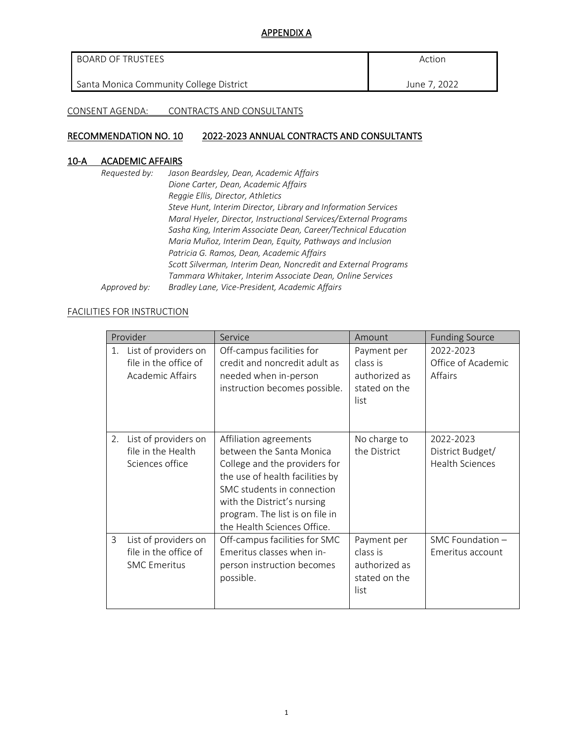### APPENDIX A

| BOARD OF TRUSTEES                       | Action       |
|-----------------------------------------|--------------|
| Santa Monica Community College District | June 7, 2022 |

CONSENT AGENDA: CONTRACTS AND CONSULTANTS

## RECOMMENDATION NO. 10 2022-2023 ANNUAL CONTRACTS AND CONSULTANTS

## 10-A ACADEMIC AFFAIRS

| Requested by: | Jason Beardsley, Dean, Academic Affairs                          |
|---------------|------------------------------------------------------------------|
|               | Dione Carter, Dean, Academic Affairs                             |
|               | Reggie Ellis, Director, Athletics                                |
|               | Steve Hunt, Interim Director, Library and Information Services   |
|               | Maral Hyeler, Director, Instructional Services/External Programs |
|               | Sasha King, Interim Associate Dean, Career/Technical Education   |
|               | Maria Muñoz, Interim Dean, Equity, Pathways and Inclusion        |
|               | Patricia G. Ramos, Dean, Academic Affairs                        |
|               | Scott Silverman, Interim Dean, Noncredit and External Programs   |
|               | Tammara Whitaker, Interim Associate Dean, Online Services        |
| Approved by:  | Bradley Lane, Vice-President, Academic Affairs                   |

#### FACILITIES FOR INSTRUCTION

|    | Provider                                                             | Service                                                                                                                                                                                                                                               | Amount                                                            | <b>Funding Source</b>                                   |
|----|----------------------------------------------------------------------|-------------------------------------------------------------------------------------------------------------------------------------------------------------------------------------------------------------------------------------------------------|-------------------------------------------------------------------|---------------------------------------------------------|
| 1. | List of providers on<br>file in the office of<br>Academic Affairs    | Off-campus facilities for<br>credit and noncredit adult as<br>needed when in-person<br>instruction becomes possible.                                                                                                                                  | Payment per<br>class is<br>authorized as<br>stated on the<br>list | 2022-2023<br>Office of Academic<br>Affairs              |
| 2. | List of providers on<br>file in the Health<br>Sciences office        | Affiliation agreements<br>between the Santa Monica<br>College and the providers for<br>the use of health facilities by<br>SMC students in connection<br>with the District's nursing<br>program. The list is on file in<br>the Health Sciences Office. | No charge to<br>the District                                      | 2022-2023<br>District Budget/<br><b>Health Sciences</b> |
| 3  | List of providers on<br>file in the office of<br><b>SMC Emeritus</b> | Off-campus facilities for SMC<br>Emeritus classes when in-<br>person instruction becomes<br>possible.                                                                                                                                                 | Payment per<br>class is<br>authorized as<br>stated on the<br>list | SMC Foundation -<br>Emeritus account                    |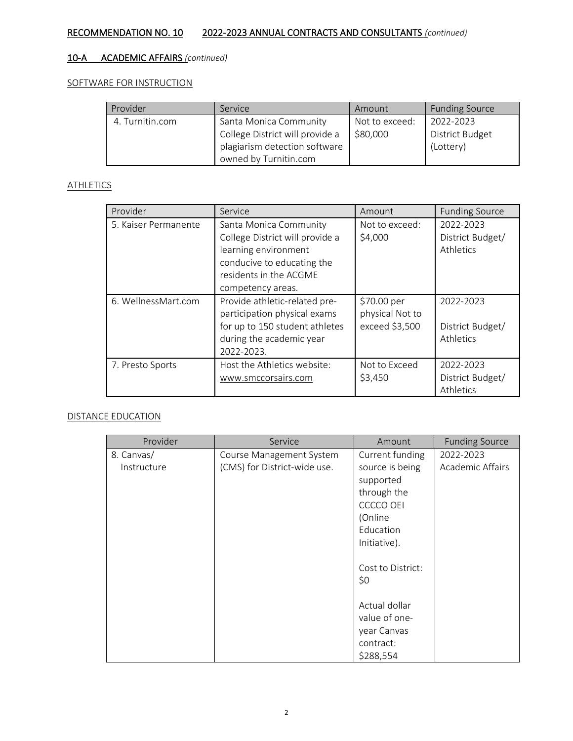# 10-A ACADEMIC AFFAIRS *(continued)*

#### SOFTWARE FOR INSTRUCTION

| Provider        | Service                         | Amount         | <b>Funding Source</b> |
|-----------------|---------------------------------|----------------|-----------------------|
| 4. Turnitin.com | Santa Monica Community          | Not to exceed: | 2022-2023             |
|                 | College District will provide a | \$80,000       | District Budget       |
|                 | plagiarism detection software   |                | (Lottery)             |
|                 | owned by Turnitin.com           |                |                       |

### **ATHLETICS**

| Provider             | Service                                                                                                                                                        | Amount                                           | <b>Funding Source</b>                      |
|----------------------|----------------------------------------------------------------------------------------------------------------------------------------------------------------|--------------------------------------------------|--------------------------------------------|
| 5. Kaiser Permanente | Santa Monica Community<br>College District will provide a<br>learning environment<br>conducive to educating the<br>residents in the ACGME<br>competency areas. | Not to exceed:<br>\$4,000                        | 2022-2023<br>District Budget/<br>Athletics |
| 6. WellnessMart.com  | Provide athletic-related pre-<br>participation physical exams<br>for up to 150 student athletes<br>during the academic year<br>2022-2023.                      | \$70.00 per<br>physical Not to<br>exceed \$3,500 | 2022-2023<br>District Budget/<br>Athletics |
| 7. Presto Sports     | Host the Athletics website:<br>www.smccorsairs.com                                                                                                             | Not to Exceed<br>\$3,450                         | 2022-2023<br>District Budget/<br>Athletics |

#### DISTANCE EDUCATION

| Provider    | Service                      | Amount            | <b>Funding Source</b> |
|-------------|------------------------------|-------------------|-----------------------|
| 8. Canvas/  | Course Management System     | Current funding   | 2022-2023             |
| Instructure | (CMS) for District-wide use. | source is being   | Academic Affairs      |
|             |                              | supported         |                       |
|             |                              | through the       |                       |
|             |                              | <b>CCCCO OEI</b>  |                       |
|             |                              | (Online           |                       |
|             |                              | Education         |                       |
|             |                              | Initiative).      |                       |
|             |                              |                   |                       |
|             |                              | Cost to District: |                       |
|             |                              | \$0               |                       |
|             |                              |                   |                       |
|             |                              | Actual dollar     |                       |
|             |                              | value of one-     |                       |
|             |                              | year Canvas       |                       |
|             |                              | contract:         |                       |
|             |                              | \$288,554         |                       |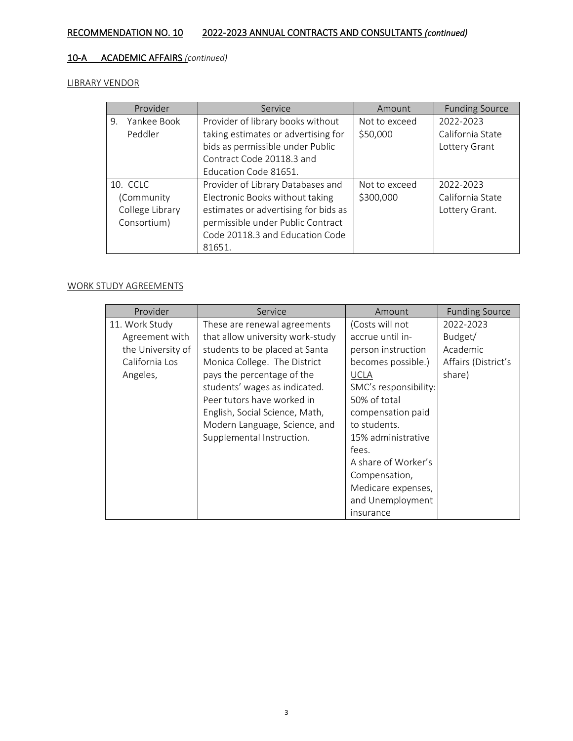# 10-A ACADEMIC AFFAIRS *(continued)*

LIBRARY VENDOR

| Provider          | Service                              | Amount        | <b>Funding Source</b> |
|-------------------|--------------------------------------|---------------|-----------------------|
| Yankee Book<br>9. | Provider of library books without    | Not to exceed | 2022-2023             |
| Peddler           | taking estimates or advertising for  | \$50,000      | California State      |
|                   | bids as permissible under Public     |               | Lottery Grant         |
|                   | Contract Code 20118.3 and            |               |                       |
|                   | Education Code 81651.                |               |                       |
| 10. CCLC          | Provider of Library Databases and    | Not to exceed | 2022-2023             |
| (Community        | Electronic Books without taking      | \$300,000     | California State      |
| College Library   | estimates or advertising for bids as |               | Lottery Grant.        |
| Consortium)       | permissible under Public Contract    |               |                       |
|                   | Code 20118.3 and Education Code      |               |                       |
|                   | 81651.                               |               |                       |

## WORK STUDY AGREEMENTS

| Provider          | Service                          | Amount                | <b>Funding Source</b> |
|-------------------|----------------------------------|-----------------------|-----------------------|
| 11. Work Study    | These are renewal agreements     | (Costs will not       | 2022-2023             |
| Agreement with    | that allow university work-study | accrue until in-      | Budget/               |
| the University of | students to be placed at Santa   | person instruction    | Academic              |
| California Los    | Monica College. The District     | becomes possible.)    | Affairs (District's   |
| Angeles,          | pays the percentage of the       | <b>UCLA</b>           | share)                |
|                   | students' wages as indicated.    | SMC's responsibility: |                       |
|                   | Peer tutors have worked in       | 50% of total          |                       |
|                   | English, Social Science, Math,   | compensation paid     |                       |
|                   | Modern Language, Science, and    | to students.          |                       |
|                   | Supplemental Instruction.        | 15% administrative    |                       |
|                   |                                  | fees.                 |                       |
|                   |                                  | A share of Worker's   |                       |
|                   |                                  | Compensation,         |                       |
|                   |                                  | Medicare expenses,    |                       |
|                   |                                  | and Unemployment      |                       |
|                   |                                  | insurance             |                       |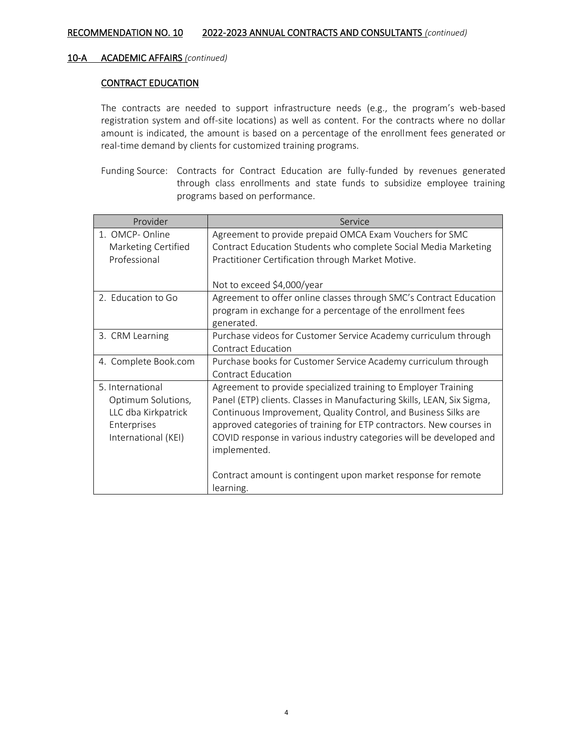#### CONTRACT EDUCATION

The contracts are needed to support infrastructure needs (e.g., the program's web-based registration system and off-site locations) as well as content. For the contracts where no dollar amount is indicated, the amount is based on a percentage of the enrollment fees generated or real-time demand by clients for customized training programs.

Funding Source: Contracts for Contract Education are fully-funded by revenues generated through class enrollments and state funds to subsidize employee training programs based on performance.

| Provider                                                                                            | Service                                                                                                                                                                                                                                                                                                                                                                                                                                                 |
|-----------------------------------------------------------------------------------------------------|---------------------------------------------------------------------------------------------------------------------------------------------------------------------------------------------------------------------------------------------------------------------------------------------------------------------------------------------------------------------------------------------------------------------------------------------------------|
| 1. OMCP-Online<br>Marketing Certified<br>Professional                                               | Agreement to provide prepaid OMCA Exam Vouchers for SMC<br>Contract Education Students who complete Social Media Marketing<br>Practitioner Certification through Market Motive.<br>Not to exceed \$4,000/year                                                                                                                                                                                                                                           |
| 2. Education to Go                                                                                  | Agreement to offer online classes through SMC's Contract Education<br>program in exchange for a percentage of the enrollment fees<br>generated.                                                                                                                                                                                                                                                                                                         |
| 3. CRM Learning                                                                                     | Purchase videos for Customer Service Academy curriculum through<br>Contract Education                                                                                                                                                                                                                                                                                                                                                                   |
| 4. Complete Book.com                                                                                | Purchase books for Customer Service Academy curriculum through<br><b>Contract Education</b>                                                                                                                                                                                                                                                                                                                                                             |
| 5. International<br>Optimum Solutions,<br>LLC dba Kirkpatrick<br>Enterprises<br>International (KEI) | Agreement to provide specialized training to Employer Training<br>Panel (ETP) clients. Classes in Manufacturing Skills, LEAN, Six Sigma,<br>Continuous Improvement, Quality Control, and Business Silks are<br>approved categories of training for ETP contractors. New courses in<br>COVID response in various industry categories will be developed and<br>implemented.<br>Contract amount is contingent upon market response for remote<br>learning. |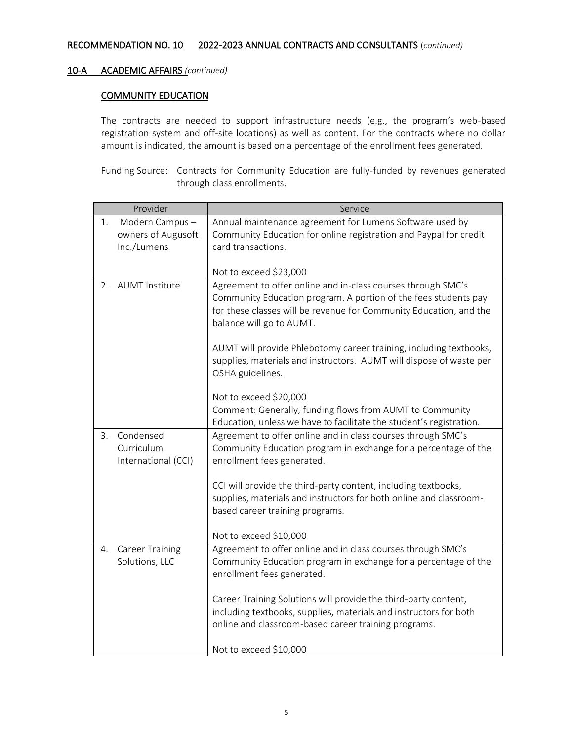#### COMMUNITY EDUCATION

The contracts are needed to support infrastructure needs (e.g., the program's web-based registration system and off-site locations) as well as content. For the contracts where no dollar amount is indicated, the amount is based on a percentage of the enrollment fees generated.

Funding Source: Contracts for Community Education are fully-funded by revenues generated through class enrollments.

|    | Provider               | Service                                                                                                                         |
|----|------------------------|---------------------------------------------------------------------------------------------------------------------------------|
| 1. | Modern Campus-         | Annual maintenance agreement for Lumens Software used by                                                                        |
|    | owners of Augusoft     | Community Education for online registration and Paypal for credit                                                               |
|    | Inc./Lumens            | card transactions.                                                                                                              |
|    |                        |                                                                                                                                 |
|    | <b>AUMT Institute</b>  | Not to exceed \$23,000                                                                                                          |
| 2. |                        | Agreement to offer online and in-class courses through SMC's<br>Community Education program. A portion of the fees students pay |
|    |                        | for these classes will be revenue for Community Education, and the                                                              |
|    |                        | balance will go to AUMT.                                                                                                        |
|    |                        |                                                                                                                                 |
|    |                        | AUMT will provide Phlebotomy career training, including textbooks,                                                              |
|    |                        | supplies, materials and instructors. AUMT will dispose of waste per                                                             |
|    |                        | OSHA guidelines.                                                                                                                |
|    |                        |                                                                                                                                 |
|    |                        | Not to exceed \$20,000                                                                                                          |
|    |                        | Comment: Generally, funding flows from AUMT to Community                                                                        |
| 3. | Condensed              | Education, unless we have to facilitate the student's registration.                                                             |
|    | Curriculum             | Agreement to offer online and in class courses through SMC's<br>Community Education program in exchange for a percentage of the |
|    | International (CCI)    | enrollment fees generated.                                                                                                      |
|    |                        |                                                                                                                                 |
|    |                        | CCI will provide the third-party content, including textbooks,                                                                  |
|    |                        | supplies, materials and instructors for both online and classroom-                                                              |
|    |                        | based career training programs.                                                                                                 |
|    |                        |                                                                                                                                 |
|    |                        | Not to exceed \$10,000                                                                                                          |
| 4. | <b>Career Training</b> | Agreement to offer online and in class courses through SMC's                                                                    |
|    | Solutions, LLC         | Community Education program in exchange for a percentage of the                                                                 |
|    |                        | enrollment fees generated.                                                                                                      |
|    |                        | Career Training Solutions will provide the third-party content,                                                                 |
|    |                        | including textbooks, supplies, materials and instructors for both                                                               |
|    |                        | online and classroom-based career training programs.                                                                            |
|    |                        |                                                                                                                                 |
|    |                        | Not to exceed \$10,000                                                                                                          |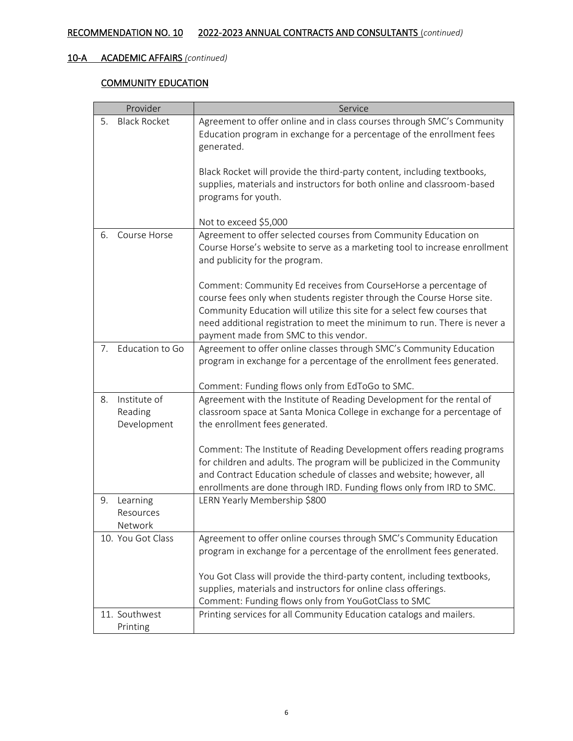## COMMUNITY EDUCATION

| Provider                                     | Service                                                                                                                                                                                                                                                                                                                                     |
|----------------------------------------------|---------------------------------------------------------------------------------------------------------------------------------------------------------------------------------------------------------------------------------------------------------------------------------------------------------------------------------------------|
| <b>Black Rocket</b><br>5.                    | Agreement to offer online and in class courses through SMC's Community<br>Education program in exchange for a percentage of the enrollment fees<br>generated.                                                                                                                                                                               |
|                                              | Black Rocket will provide the third-party content, including textbooks,<br>supplies, materials and instructors for both online and classroom-based<br>programs for youth.                                                                                                                                                                   |
|                                              | Not to exceed \$5,000                                                                                                                                                                                                                                                                                                                       |
| Course Horse<br>6.                           | Agreement to offer selected courses from Community Education on<br>Course Horse's website to serve as a marketing tool to increase enrollment<br>and publicity for the program.                                                                                                                                                             |
|                                              | Comment: Community Ed receives from CourseHorse a percentage of<br>course fees only when students register through the Course Horse site.<br>Community Education will utilize this site for a select few courses that<br>need additional registration to meet the minimum to run. There is never a<br>payment made from SMC to this vendor. |
| 7. Education to Go                           | Agreement to offer online classes through SMC's Community Education<br>program in exchange for a percentage of the enrollment fees generated.                                                                                                                                                                                               |
|                                              | Comment: Funding flows only from EdToGo to SMC.                                                                                                                                                                                                                                                                                             |
| Institute of<br>8.<br>Reading<br>Development | Agreement with the Institute of Reading Development for the rental of<br>classroom space at Santa Monica College in exchange for a percentage of<br>the enrollment fees generated.                                                                                                                                                          |
|                                              | Comment: The Institute of Reading Development offers reading programs<br>for children and adults. The program will be publicized in the Community<br>and Contract Education schedule of classes and website; however, all<br>enrollments are done through IRD. Funding flows only from IRD to SMC.                                          |
| Learning<br>9.<br>Resources<br>Network       | LERN Yearly Membership \$800                                                                                                                                                                                                                                                                                                                |
| 10. You Got Class                            | Agreement to offer online courses through SMC's Community Education<br>program in exchange for a percentage of the enrollment fees generated.                                                                                                                                                                                               |
|                                              | You Got Class will provide the third-party content, including textbooks,<br>supplies, materials and instructors for online class offerings.<br>Comment: Funding flows only from YouGotClass to SMC                                                                                                                                          |
| 11. Southwest<br>Printing                    | Printing services for all Community Education catalogs and mailers.                                                                                                                                                                                                                                                                         |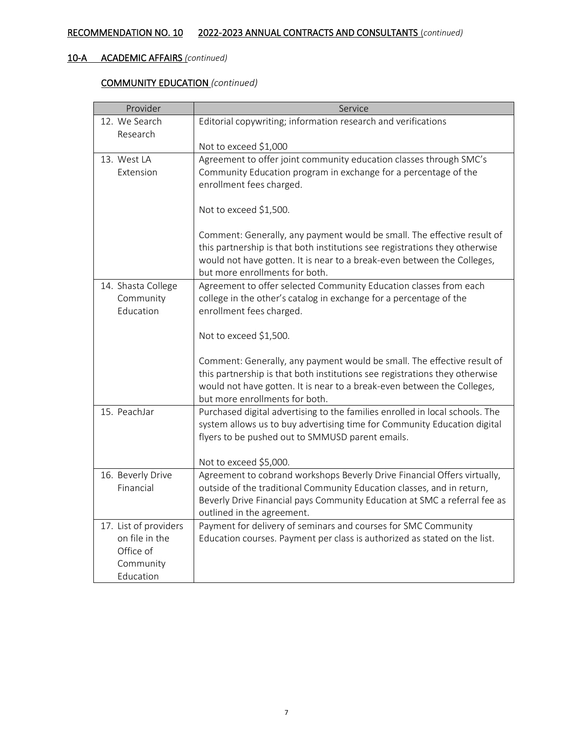# COMMUNITY EDUCATION *(continued)*

| Provider              | Service                                                                      |
|-----------------------|------------------------------------------------------------------------------|
| 12. We Search         | Editorial copywriting; information research and verifications                |
| Research              |                                                                              |
|                       | Not to exceed \$1,000                                                        |
| 13. West LA           | Agreement to offer joint community education classes through SMC's           |
| Extension             | Community Education program in exchange for a percentage of the              |
|                       | enrollment fees charged.                                                     |
|                       | Not to exceed \$1,500.                                                       |
|                       |                                                                              |
|                       | Comment: Generally, any payment would be small. The effective result of      |
|                       | this partnership is that both institutions see registrations they otherwise  |
|                       | would not have gotten. It is near to a break-even between the Colleges,      |
|                       | but more enrollments for both.                                               |
| 14. Shasta College    | Agreement to offer selected Community Education classes from each            |
| Community             | college in the other's catalog in exchange for a percentage of the           |
| Education             | enrollment fees charged.                                                     |
|                       | Not to exceed \$1,500.                                                       |
|                       |                                                                              |
|                       | Comment: Generally, any payment would be small. The effective result of      |
|                       | this partnership is that both institutions see registrations they otherwise  |
|                       | would not have gotten. It is near to a break-even between the Colleges,      |
|                       | but more enrollments for both.                                               |
| 15. PeachJar          | Purchased digital advertising to the families enrolled in local schools. The |
|                       | system allows us to buy advertising time for Community Education digital     |
|                       | flyers to be pushed out to SMMUSD parent emails.                             |
|                       | Not to exceed \$5,000.                                                       |
| 16. Beverly Drive     | Agreement to cobrand workshops Beverly Drive Financial Offers virtually,     |
| Financial             | outside of the traditional Community Education classes, and in return,       |
|                       | Beverly Drive Financial pays Community Education at SMC a referral fee as    |
|                       | outlined in the agreement.                                                   |
| 17. List of providers | Payment for delivery of seminars and courses for SMC Community               |
| on file in the        | Education courses. Payment per class is authorized as stated on the list.    |
| Office of             |                                                                              |
| Community             |                                                                              |
| Education             |                                                                              |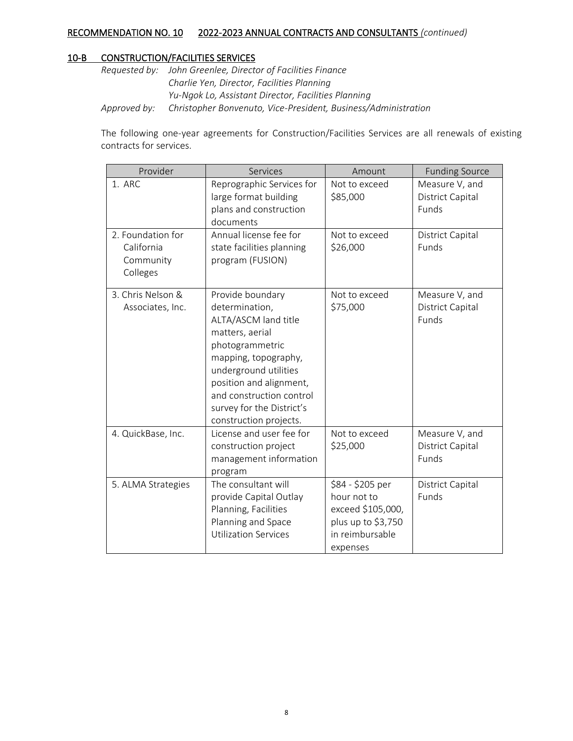#### 10-B CONSTRUCTION/FACILITIES SERVICES

*Requested by: John Greenlee, Director of Facilities Finance Charlie Yen, Director, Facilities Planning Yu-Ngok Lo, Assistant Director, Facilities Planning Approved by: Christopher Bonvenuto, Vice-President, Business/Administration*

The following one-year agreements for Construction/Facilities Services are all renewals of existing contracts for services.

| Provider                                                 | Services                                                                                                                                                                                                                                                        | Amount                                                                                                    | <b>Funding Source</b>                              |
|----------------------------------------------------------|-----------------------------------------------------------------------------------------------------------------------------------------------------------------------------------------------------------------------------------------------------------------|-----------------------------------------------------------------------------------------------------------|----------------------------------------------------|
| 1. ARC                                                   | Reprographic Services for<br>large format building<br>plans and construction<br>documents                                                                                                                                                                       | Not to exceed<br>\$85,000                                                                                 | Measure V, and<br><b>District Capital</b><br>Funds |
| 2. Foundation for<br>California<br>Community<br>Colleges | Annual license fee for<br>state facilities planning<br>program (FUSION)                                                                                                                                                                                         | Not to exceed<br>\$26,000                                                                                 | District Capital<br>Funds                          |
| 3. Chris Nelson &<br>Associates, Inc.                    | Provide boundary<br>determination,<br>ALTA/ASCM land title<br>matters, aerial<br>photogrammetric<br>mapping, topography,<br>underground utilities<br>position and alignment,<br>and construction control<br>survey for the District's<br>construction projects. | Not to exceed<br>\$75,000                                                                                 | Measure V, and<br><b>District Capital</b><br>Funds |
| 4. QuickBase, Inc.                                       | License and user fee for<br>construction project<br>management information<br>program                                                                                                                                                                           | Not to exceed<br>\$25,000                                                                                 | Measure V, and<br><b>District Capital</b><br>Funds |
| 5. ALMA Strategies                                       | The consultant will<br>provide Capital Outlay<br>Planning, Facilities<br>Planning and Space<br><b>Utilization Services</b>                                                                                                                                      | \$84 - \$205 per<br>hour not to<br>exceed \$105,000,<br>plus up to \$3,750<br>in reimbursable<br>expenses | <b>District Capital</b><br>Funds                   |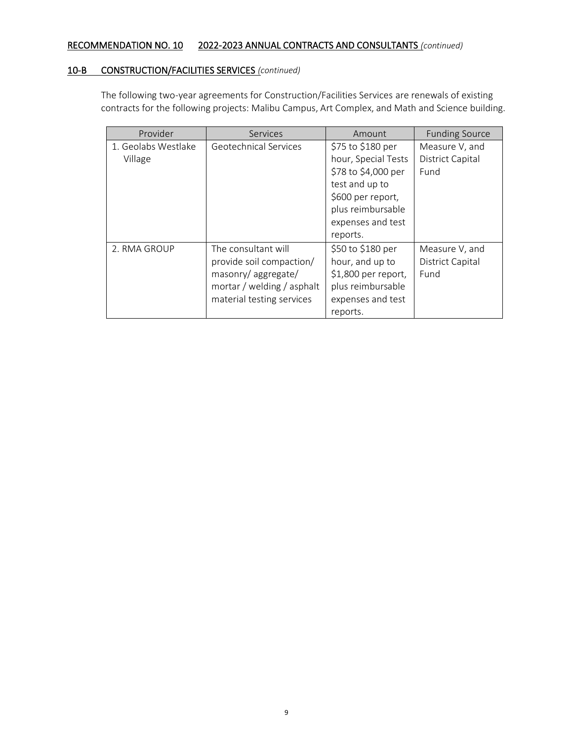#### 10-B CONSTRUCTION/FACILITIES SERVICES *(continued)*

The following two-year agreements for Construction/Facilities Services are renewals of existing contracts for the following projects: Malibu Campus, Art Complex, and Math and Science building.

| Provider                       | Services                                                                                                                         | Amount                                                                                                                                                       | <b>Funding Source</b>                             |
|--------------------------------|----------------------------------------------------------------------------------------------------------------------------------|--------------------------------------------------------------------------------------------------------------------------------------------------------------|---------------------------------------------------|
| 1. Geolabs Westlake<br>Village | Geotechnical Services                                                                                                            | \$75 to \$180 per<br>hour, Special Tests<br>\$78 to \$4,000 per<br>test and up to<br>\$600 per report,<br>plus reimbursable<br>expenses and test<br>reports. | Measure V, and<br><b>District Capital</b><br>Fund |
| 2. RMA GROUP                   | The consultant will<br>provide soil compaction/<br>masonry/aggregate/<br>mortar / welding / asphalt<br>material testing services | \$50 to \$180 per<br>hour, and up to<br>\$1,800 per report,<br>plus reimbursable<br>expenses and test<br>reports.                                            | Measure V, and<br><b>District Capital</b><br>Fund |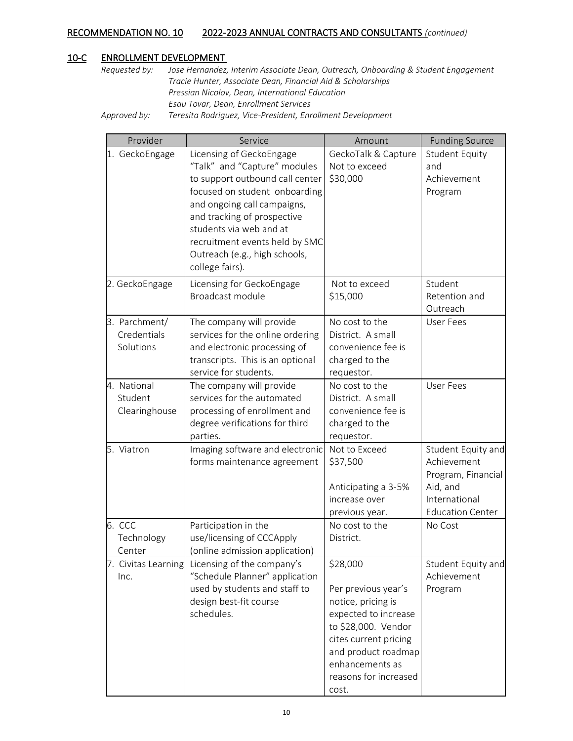#### 10-C ENROLLMENT DEVELOPMENT

*Requested by: Jose Hernandez, Interim Associate Dean, Outreach, Onboarding & Student Engagement Tracie Hunter, Associate Dean, Financial Aid & Scholarships Pressian Nicolov, Dean, International Education Esau Tovar, Dean, Enrollment Services*

*Approved by: Teresita Rodriguez, Vice-President, Enrollment Development*

|        | Provider            | Service                          | Amount                               | <b>Funding Source</b>             |
|--------|---------------------|----------------------------------|--------------------------------------|-----------------------------------|
|        | 1. GeckoEngage      | Licensing of GeckoEngage         | GeckoTalk & Capture                  | <b>Student Equity</b>             |
|        |                     | "Talk" and "Capture" modules     | Not to exceed                        | and                               |
|        |                     | to support outbound call center  | \$30,000                             | Achievement                       |
|        |                     | focused on student onboarding    |                                      | Program                           |
|        |                     | and ongoing call campaigns,      |                                      |                                   |
|        |                     | and tracking of prospective      |                                      |                                   |
|        |                     | students via web and at          |                                      |                                   |
|        |                     | recruitment events held by SMC   |                                      |                                   |
|        |                     | Outreach (e.g., high schools,    |                                      |                                   |
|        |                     | college fairs).                  |                                      |                                   |
|        | 2. GeckoEngage      | Licensing for GeckoEngage        | Not to exceed                        | Student                           |
|        |                     | Broadcast module                 | \$15,000                             | Retention and                     |
|        |                     |                                  |                                      | Outreach                          |
|        | 3. Parchment/       | The company will provide         | No cost to the                       | <b>User Fees</b>                  |
|        | Credentials         | services for the online ordering | District. A small                    |                                   |
|        | Solutions           | and electronic processing of     | convenience fee is                   |                                   |
|        |                     | transcripts. This is an optional | charged to the                       |                                   |
|        |                     | service for students.            | requestor.                           |                                   |
|        | 4. National         | The company will provide         | No cost to the                       | <b>User Fees</b>                  |
|        | Student             | services for the automated       | District. A small                    |                                   |
|        | Clearinghouse       | processing of enrollment and     | convenience fee is                   |                                   |
|        |                     | degree verifications for third   | charged to the                       |                                   |
|        |                     | parties.                         | requestor.                           |                                   |
|        | 5. Viatron          | Imaging software and electronic  | Not to Exceed                        | Student Equity and<br>Achievement |
|        |                     | forms maintenance agreement      | \$37,500                             |                                   |
|        |                     |                                  |                                      | Program, Financial<br>Aid, and    |
|        |                     |                                  | Anticipating a 3-5%<br>increase over | International                     |
|        |                     |                                  | previous year.                       | <b>Education Center</b>           |
| 6. CCC |                     | Participation in the             | No cost to the                       | No Cost                           |
|        | Technology          | use/licensing of CCCApply        | District.                            |                                   |
|        | Center              | (online admission application)   |                                      |                                   |
|        | 7. Civitas Learning | Licensing of the company's       | \$28,000                             | Student Equity and                |
|        | Inc.                | "Schedule Planner" application   |                                      | Achievement                       |
|        |                     | used by students and staff to    | Per previous year's                  | Program                           |
|        |                     | design best-fit course           | notice, pricing is                   |                                   |
|        |                     | schedules.                       | expected to increase                 |                                   |
|        |                     |                                  | to \$28,000. Vendor                  |                                   |
|        |                     |                                  | cites current pricing                |                                   |
|        |                     |                                  | and product roadmap                  |                                   |
|        |                     |                                  | enhancements as                      |                                   |
|        |                     |                                  | reasons for increased                |                                   |
|        |                     |                                  | cost.                                |                                   |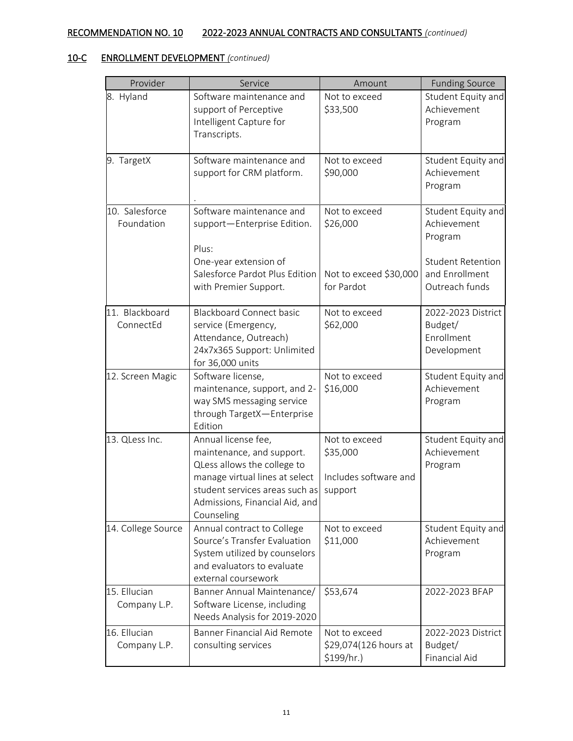| Provider           | Service                                                     | Amount                    | <b>Funding Source</b>             |
|--------------------|-------------------------------------------------------------|---------------------------|-----------------------------------|
| 8. Hyland          | Software maintenance and                                    | Not to exceed             | Student Equity and                |
|                    | support of Perceptive                                       | \$33,500                  | Achievement                       |
|                    | Intelligent Capture for                                     |                           | Program                           |
|                    | Transcripts.                                                |                           |                                   |
| 9. TargetX         | Software maintenance and                                    | Not to exceed             | Student Equity and                |
|                    | support for CRM platform.                                   | \$90,000                  | Achievement                       |
|                    |                                                             |                           | Program                           |
| 10. Salesforce     | Software maintenance and                                    | Not to exceed             | Student Equity and                |
| Foundation         | support-Enterprise Edition.                                 | \$26,000                  | Achievement                       |
|                    | Plus:                                                       |                           | Program                           |
|                    | One-year extension of                                       |                           | <b>Student Retention</b>          |
|                    | Salesforce Pardot Plus Edition                              | Not to exceed \$30,000    | and Enrollment                    |
|                    | with Premier Support.                                       | for Pardot                | Outreach funds                    |
|                    |                                                             |                           |                                   |
| 11. Blackboard     | <b>Blackboard Connect basic</b>                             | Not to exceed             | 2022-2023 District                |
| ConnectEd          | service (Emergency,                                         | \$62,000                  | Budget/                           |
|                    | Attendance, Outreach)                                       |                           | Enrollment                        |
|                    | 24x7x365 Support: Unlimited<br>for 36,000 units             |                           | Development                       |
| 12. Screen Magic   | Software license,                                           | Not to exceed             | Student Equity and                |
|                    | maintenance, support, and 2-                                | \$16,000                  | Achievement                       |
|                    | way SMS messaging service                                   |                           | Program                           |
|                    | through TargetX-Enterprise                                  |                           |                                   |
|                    | Edition                                                     |                           |                                   |
| 13. QLess Inc.     | Annual license fee,<br>maintenance, and support.            | Not to exceed<br>\$35,000 | Student Equity and<br>Achievement |
|                    | QLess allows the college to                                 |                           | Program                           |
|                    | manage virtual lines at select                              | Includes software and     |                                   |
|                    | student services areas such as                              | support                   |                                   |
|                    | Admissions, Financial Aid, and                              |                           |                                   |
|                    | Counseling                                                  |                           |                                   |
| 14. College Source | Annual contract to College                                  | Not to exceed             | Student Equity and                |
|                    | Source's Transfer Evaluation                                | \$11,000                  | Achievement                       |
|                    | System utilized by counselors<br>and evaluators to evaluate |                           | Program                           |
|                    | external coursework                                         |                           |                                   |
| 15. Ellucian       | Banner Annual Maintenance/                                  | \$53,674                  | 2022-2023 BFAP                    |
| Company L.P.       | Software License, including                                 |                           |                                   |
|                    | Needs Analysis for 2019-2020                                |                           |                                   |
| 16. Ellucian       | <b>Banner Financial Aid Remote</b>                          | Not to exceed             | 2022-2023 District                |
| Company L.P.       | consulting services                                         | \$29,074(126 hours at     | Budget/                           |
|                    |                                                             | $$199/hr.$ )              | Financial Aid                     |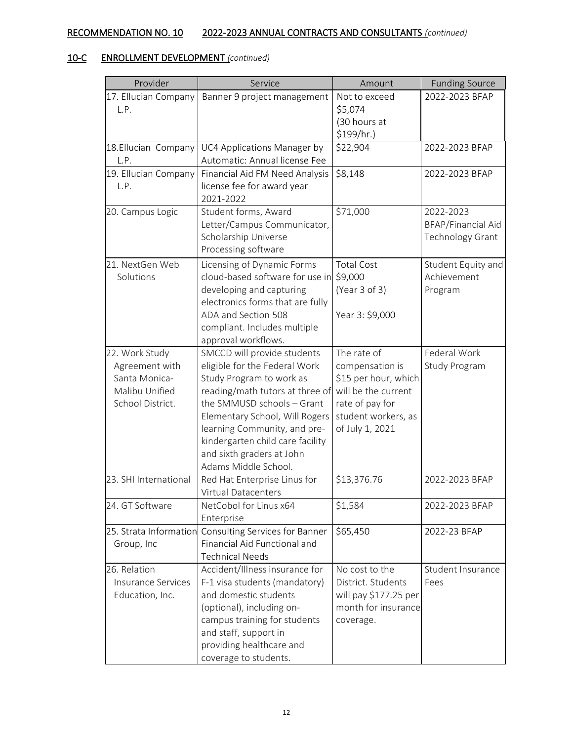| Provider                  | Service                                               | Amount                | <b>Funding Source</b> |
|---------------------------|-------------------------------------------------------|-----------------------|-----------------------|
| 17. Ellucian Company      | Banner 9 project management                           | Not to exceed         | 2022-2023 BFAP        |
| L.P.                      |                                                       | \$5,074               |                       |
|                           |                                                       | (30 hours at          |                       |
|                           |                                                       | \$199/hr.)            |                       |
| 18. Ellucian Company      | UC4 Applications Manager by                           | \$22,904              | 2022-2023 BFAP        |
| L.P.                      | Automatic: Annual license Fee                         |                       |                       |
| 19. Ellucian Company      | Financial Aid FM Need Analysis                        | \$8,148               | 2022-2023 BFAP        |
| L.P.                      | license fee for award year                            |                       |                       |
|                           | 2021-2022                                             |                       |                       |
| 20. Campus Logic          | Student forms, Award                                  | \$71,000              | 2022-2023             |
|                           | Letter/Campus Communicator,                           |                       | BFAP/Financial Aid    |
|                           | Scholarship Universe                                  |                       | Technology Grant      |
|                           | Processing software                                   |                       |                       |
| 21. NextGen Web           | Licensing of Dynamic Forms                            | <b>Total Cost</b>     | Student Equity and    |
| Solutions                 | cloud-based software for use in \$9,000               |                       | Achievement           |
|                           | developing and capturing                              | (Year 3 of 3)         | Program               |
|                           | electronics forms that are fully                      |                       |                       |
|                           | ADA and Section 508                                   | Year 3: \$9,000       |                       |
|                           | compliant. Includes multiple                          |                       |                       |
|                           | approval workflows.                                   |                       |                       |
| 22. Work Study            | SMCCD will provide students                           | The rate of           | Federal Work          |
| Agreement with            | eligible for the Federal Work                         | compensation is       | Study Program         |
| Santa Monica-             | Study Program to work as                              | \$15 per hour, which  |                       |
| Malibu Unified            | reading/math tutors at three of                       | will be the current   |                       |
| School District.          | the SMMUSD schools - Grant                            | rate of pay for       |                       |
|                           | Elementary School, Will Rogers                        | student workers, as   |                       |
|                           | learning Community, and pre-                          | of July 1, 2021       |                       |
|                           | kindergarten child care facility                      |                       |                       |
|                           | and sixth graders at John                             |                       |                       |
|                           | Adams Middle School.                                  |                       |                       |
| 23. SHI International     | Red Hat Enterprise Linus for                          | \$13,376.76           | 2022-2023 BFAP        |
|                           | Virtual Datacenters                                   |                       |                       |
| 24. GT Software           | NetCobol for Linus x64<br>Enterprise                  | \$1,584               | 2022-2023 BFAP        |
|                           | 25. Strata Information Consulting Services for Banner | \$65,450              | 2022-23 BFAP          |
| Group, Inc                | Financial Aid Functional and                          |                       |                       |
|                           | <b>Technical Needs</b>                                |                       |                       |
| 26. Relation              | Accident/Illness insurance for                        | No cost to the        | Student Insurance     |
| <b>Insurance Services</b> | F-1 visa students (mandatory)                         | District. Students    | Fees                  |
| Education, Inc.           | and domestic students                                 | will pay \$177.25 per |                       |
|                           | (optional), including on-                             | month for insurance   |                       |
|                           | campus training for students                          | coverage.             |                       |
|                           | and staff, support in                                 |                       |                       |
|                           | providing healthcare and                              |                       |                       |
|                           | coverage to students.                                 |                       |                       |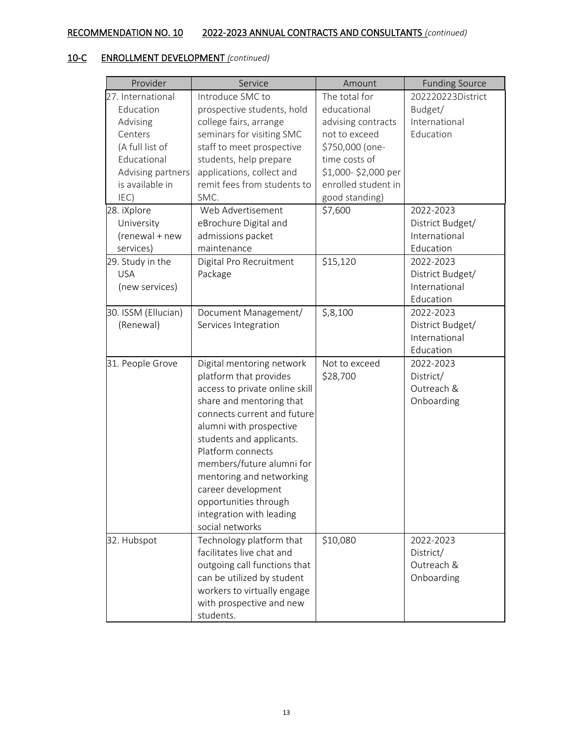| Provider            | Service                        | Amount              | <b>Funding Source</b> |
|---------------------|--------------------------------|---------------------|-----------------------|
| 27. International   | Introduce SMC to               | The total for       | 202220223District     |
| Education           | prospective students, hold     | educational         | Budget/               |
| Advising            | college fairs, arrange         | advising contracts  | International         |
| Centers             | seminars for visiting SMC      | not to exceed       | Education             |
| (A full list of     | staff to meet prospective      | \$750,000 (one-     |                       |
| Educational         | students, help prepare         | time costs of       |                       |
| Advising partners   | applications, collect and      | \$1,000-\$2,000 per |                       |
| is available in     | remit fees from students to    | enrolled student in |                       |
| IEC)                | SMC.                           | good standing)      |                       |
| 28. iXplore         | Web Advertisement              | \$7,600             | 2022-2023             |
| University          | eBrochure Digital and          |                     | District Budget/      |
| (renewal + new      | admissions packet              |                     | International         |
| services)           | maintenance                    |                     | Education             |
| 29. Study in the    | Digital Pro Recruitment        | \$15,120            | 2022-2023             |
| <b>USA</b>          | Package                        |                     | District Budget/      |
| (new services)      |                                |                     | International         |
|                     |                                |                     | Education             |
| 30. ISSM (Ellucian) | Document Management/           | \$,8,100            | 2022-2023             |
| (Renewal)           | Services Integration           |                     | District Budget/      |
|                     |                                |                     | International         |
|                     |                                |                     | Education             |
| 31. People Grove    | Digital mentoring network      | Not to exceed       | 2022-2023             |
|                     | platform that provides         | \$28,700            | District/             |
|                     | access to private online skill |                     | Outreach &            |
|                     | share and mentoring that       |                     | Onboarding            |
|                     | connects current and future    |                     |                       |
|                     | alumni with prospective        |                     |                       |
|                     | students and applicants.       |                     |                       |
|                     | Platform connects              |                     |                       |
|                     | members/future alumni for      |                     |                       |
|                     | mentoring and networking       |                     |                       |
|                     | career development             |                     |                       |
|                     | opportunities through          |                     |                       |
|                     | integration with leading       |                     |                       |
|                     | social networks                |                     |                       |
| 32. Hubspot         | Technology platform that       | \$10,080            | 2022-2023             |
|                     | facilitates live chat and      |                     | District/             |
|                     | outgoing call functions that   |                     | Outreach &            |
|                     | can be utilized by student     |                     | Onboarding            |
|                     | workers to virtually engage    |                     |                       |
|                     | with prospective and new       |                     |                       |
|                     | students.                      |                     |                       |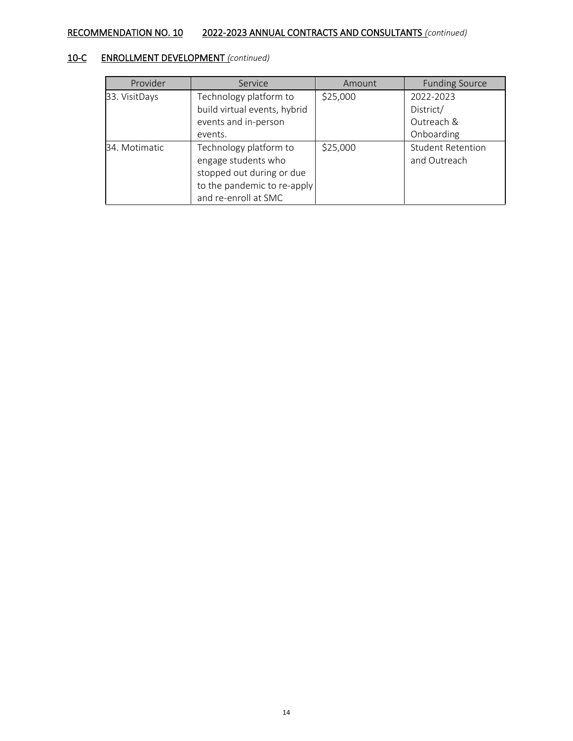| Provider      | Service                                                                                                                           | Amount   | <b>Funding Source</b>                    |
|---------------|-----------------------------------------------------------------------------------------------------------------------------------|----------|------------------------------------------|
| 33. VisitDays | Technology platform to                                                                                                            | \$25,000 | 2022-2023                                |
|               | build virtual events, hybrid                                                                                                      |          | District/                                |
|               | events and in-person                                                                                                              |          | Outreach &                               |
|               | events.                                                                                                                           |          | Onboarding                               |
| 34. Motimatic | Technology platform to<br>engage students who<br>stopped out during or due<br>to the pandemic to re-apply<br>and re-enroll at SMC | \$25,000 | <b>Student Retention</b><br>and Outreach |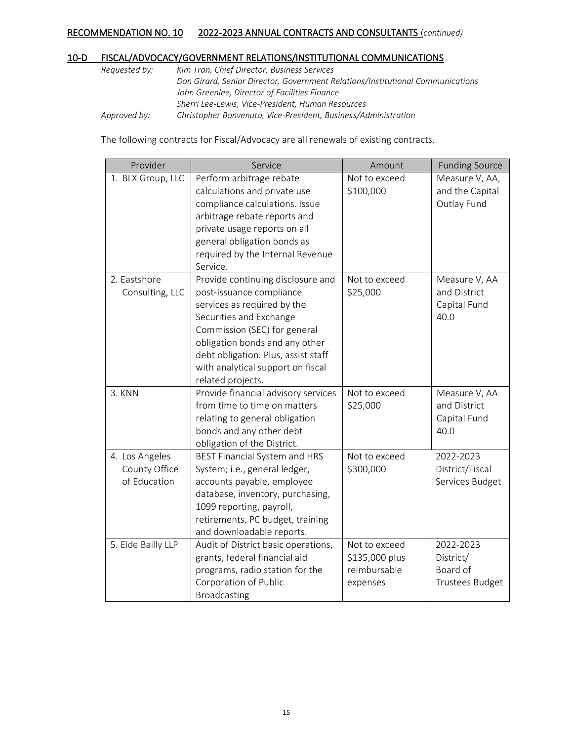# 10-D FISCAL/ADVOCACY/GOVERNMENT RELATIONS/INSTITUTIONAL COMMUNICATIONS

| Requested by: | Kim Tran, Chief Director, Business Services                                    |
|---------------|--------------------------------------------------------------------------------|
|               | Don Girard, Senior Director, Government Relations/Institutional Communications |
|               | John Greenlee, Director of Facilities Finance                                  |
|               | Sherri Lee-Lewis, Vice-President, Human Resources                              |
| Approved by:  | Christopher Bonvenuto, Vice-President, Business/Administration                 |

The following contracts for Fiscal/Advocacy are all renewals of existing contracts.

| Provider                                        | Service                                                                                                                                                                                                                                                                                    | Amount                                                      | <b>Funding Source</b>                                 |
|-------------------------------------------------|--------------------------------------------------------------------------------------------------------------------------------------------------------------------------------------------------------------------------------------------------------------------------------------------|-------------------------------------------------------------|-------------------------------------------------------|
| 1. BLX Group, LLC                               | Perform arbitrage rebate<br>calculations and private use<br>compliance calculations. Issue<br>arbitrage rebate reports and<br>private usage reports on all<br>general obligation bonds as<br>required by the Internal Revenue<br>Service.                                                  | Not to exceed<br>\$100,000                                  | Measure V, AA,<br>and the Capital<br>Outlay Fund      |
| 2. Eastshore<br>Consulting, LLC                 | Provide continuing disclosure and<br>post-issuance compliance<br>services as required by the<br>Securities and Exchange<br>Commission (SEC) for general<br>obligation bonds and any other<br>debt obligation. Plus, assist staff<br>with analytical support on fiscal<br>related projects. | Not to exceed<br>\$25,000                                   | Measure V, AA<br>and District<br>Capital Fund<br>40.0 |
| 3. KNN                                          | Provide financial advisory services<br>from time to time on matters<br>relating to general obligation<br>bonds and any other debt<br>obligation of the District.                                                                                                                           | Not to exceed<br>\$25,000                                   | Measure V, AA<br>and District<br>Capital Fund<br>40.0 |
| 4. Los Angeles<br>County Office<br>of Education | BEST Financial System and HRS<br>System; i.e., general ledger,<br>accounts payable, employee<br>database, inventory, purchasing,<br>1099 reporting, payroll,<br>retirements, PC budget, training<br>and downloadable reports.                                                              | Not to exceed<br>\$300,000                                  | 2022-2023<br>District/Fiscal<br>Services Budget       |
| 5. Eide Bailly LLP                              | Audit of District basic operations,<br>grants, federal financial aid<br>programs, radio station for the<br>Corporation of Public<br><b>Broadcasting</b>                                                                                                                                    | Not to exceed<br>\$135,000 plus<br>reimbursable<br>expenses | 2022-2023<br>District/<br>Board of<br>Trustees Budget |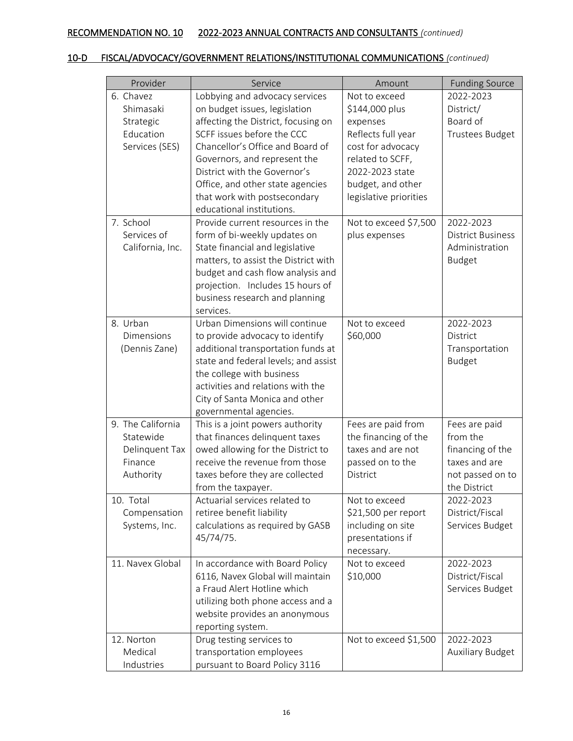# 10-D FISCAL/ADVOCACY/GOVERNMENT RELATIONS/INSTITUTIONAL COMMUNICATIONS *(continued)*

| Provider          | Service                              | Amount                 | <b>Funding Source</b>    |
|-------------------|--------------------------------------|------------------------|--------------------------|
| 6. Chavez         | Lobbying and advocacy services       | Not to exceed          | 2022-2023                |
| Shimasaki         | on budget issues, legislation        | \$144,000 plus         | District/                |
| Strategic         | affecting the District, focusing on  | expenses               | Board of                 |
| Education         | SCFF issues before the CCC           | Reflects full year     | Trustees Budget          |
| Services (SES)    | Chancellor's Office and Board of     | cost for advocacy      |                          |
|                   | Governors, and represent the         | related to SCFF,       |                          |
|                   | District with the Governor's         | 2022-2023 state        |                          |
|                   | Office, and other state agencies     | budget, and other      |                          |
|                   | that work with postsecondary         | legislative priorities |                          |
|                   | educational institutions.            |                        |                          |
| 7. School         | Provide current resources in the     | Not to exceed \$7,500  | 2022-2023                |
| Services of       | form of bi-weekly updates on         | plus expenses          | <b>District Business</b> |
| California, Inc.  | State financial and legislative      |                        | Administration           |
|                   | matters, to assist the District with |                        | <b>Budget</b>            |
|                   | budget and cash flow analysis and    |                        |                          |
|                   | projection. Includes 15 hours of     |                        |                          |
|                   | business research and planning       |                        |                          |
|                   | services.                            |                        |                          |
| 8. Urban          | Urban Dimensions will continue       | Not to exceed          | 2022-2023                |
| Dimensions        | to provide advocacy to identify      | \$60,000               | District                 |
| (Dennis Zane)     | additional transportation funds at   |                        | Transportation           |
|                   | state and federal levels; and assist |                        | <b>Budget</b>            |
|                   | the college with business            |                        |                          |
|                   | activities and relations with the    |                        |                          |
|                   | City of Santa Monica and other       |                        |                          |
|                   | governmental agencies.               |                        |                          |
| 9. The California | This is a joint powers authority     | Fees are paid from     | Fees are paid            |
| Statewide         | that finances delinquent taxes       | the financing of the   | from the                 |
| Delinquent Tax    | owed allowing for the District to    | taxes and are not      | financing of the         |
| Finance           | receive the revenue from those       | passed on to the       | taxes and are            |
| Authority         | taxes before they are collected      | District               | not passed on to         |
|                   | from the taxpayer.                   |                        | the District             |
| 10. Total         | Actuarial services related to        | Not to exceed          | 2022-2023                |
| Compensation      | retiree benefit liability            | \$21,500 per report    | District/Fiscal          |
| Systems, Inc.     | calculations as required by GASB     | including on site      | Services Budget          |
|                   | 45/74/75.                            | presentations if       |                          |
|                   |                                      | necessary.             |                          |
| 11. Navex Global  | In accordance with Board Policy      | Not to exceed          | 2022-2023                |
|                   | 6116, Navex Global will maintain     | \$10,000               | District/Fiscal          |
|                   | a Fraud Alert Hotline which          |                        | Services Budget          |
|                   | utilizing both phone access and a    |                        |                          |
|                   | website provides an anonymous        |                        |                          |
|                   | reporting system.                    |                        |                          |
| 12. Norton        | Drug testing services to             | Not to exceed \$1,500  | 2022-2023                |
| Medical           | transportation employees             |                        | Auxiliary Budget         |
| Industries        | pursuant to Board Policy 3116        |                        |                          |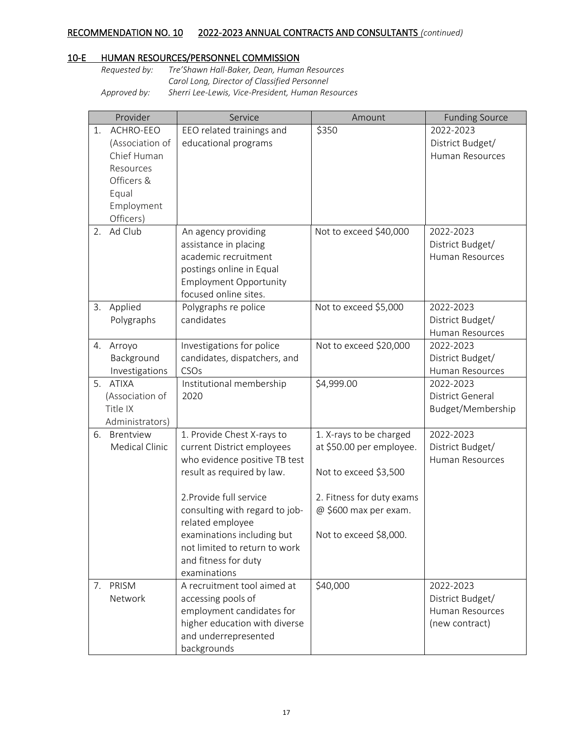# 10-E HUMAN RESOURCES/PERSONNEL COMMISSION

| Requested by: | Tre'Shawn Hall-Baker, Dean, Human Resources       |
|---------------|---------------------------------------------------|
|               | Carol Long, Director of Classified Personnel      |
| Approved by:  | Sherri Lee-Lewis, Vice-President, Human Resources |

| ACHRO-EEO<br>\$350<br>2022-2023<br>EEO related trainings and<br>1.<br>educational programs<br>(Association of<br>District Budget/<br>Chief Human<br>Human Resources<br>Resources<br>Officers &<br>Equal<br>Employment<br>Officers)<br>Ad Club<br>Not to exceed \$40,000<br>2.<br>An agency providing<br>2022-2023<br>assistance in placing<br>District Budget/<br>academic recruitment<br>Human Resources<br>postings online in Equal<br><b>Employment Opportunity</b><br>focused online sites.<br>Applied<br>Not to exceed \$5,000<br>2022-2023<br>3.<br>Polygraphs re police<br>candidates<br>Polygraphs<br>District Budget/<br>Human Resources<br>Not to exceed \$20,000<br>Investigations for police<br>2022-2023<br>4. Arroyo<br>Background<br>candidates, dispatchers, and<br>District Budget/<br>CSOs<br>Investigations<br>Human Resources<br>\$4,999.00<br><b>ATIXA</b><br>Institutional membership<br>5.<br>2022-2023<br>(Association of<br>2020<br>District General<br>Title IX<br>Budget/Membership<br>Administrators)<br>6. Brentview<br>1. Provide Chest X-rays to<br>1. X-rays to be charged<br>2022-2023<br>Medical Clinic<br>current District employees<br>at \$50.00 per employee.<br>District Budget/<br>who evidence positive TB test<br>Human Resources<br>result as required by law.<br>Not to exceed \$3,500<br>2. Provide full service<br>2. Fitness for duty exams<br>consulting with regard to job-<br>@ \$600 max per exam.<br>related employee<br>Not to exceed \$8,000.<br>examinations including but<br>not limited to return to work<br>and fitness for duty<br>examinations<br>A recruitment tool aimed at<br>\$40,000<br>7. PRISM<br>2022-2023<br>Network<br>accessing pools of<br>District Budget/<br>employment candidates for<br><b>Human Resources</b><br>higher education with diverse<br>(new contract)<br>and underrepresented | Provider | Service     | Amount | <b>Funding Source</b> |
|-----------------------------------------------------------------------------------------------------------------------------------------------------------------------------------------------------------------------------------------------------------------------------------------------------------------------------------------------------------------------------------------------------------------------------------------------------------------------------------------------------------------------------------------------------------------------------------------------------------------------------------------------------------------------------------------------------------------------------------------------------------------------------------------------------------------------------------------------------------------------------------------------------------------------------------------------------------------------------------------------------------------------------------------------------------------------------------------------------------------------------------------------------------------------------------------------------------------------------------------------------------------------------------------------------------------------------------------------------------------------------------------------------------------------------------------------------------------------------------------------------------------------------------------------------------------------------------------------------------------------------------------------------------------------------------------------------------------------------------------------------------------------------------------------------------------------------------------------------------------------|----------|-------------|--------|-----------------------|
|                                                                                                                                                                                                                                                                                                                                                                                                                                                                                                                                                                                                                                                                                                                                                                                                                                                                                                                                                                                                                                                                                                                                                                                                                                                                                                                                                                                                                                                                                                                                                                                                                                                                                                                                                                                                                                                                       |          |             |        |                       |
|                                                                                                                                                                                                                                                                                                                                                                                                                                                                                                                                                                                                                                                                                                                                                                                                                                                                                                                                                                                                                                                                                                                                                                                                                                                                                                                                                                                                                                                                                                                                                                                                                                                                                                                                                                                                                                                                       |          |             |        |                       |
|                                                                                                                                                                                                                                                                                                                                                                                                                                                                                                                                                                                                                                                                                                                                                                                                                                                                                                                                                                                                                                                                                                                                                                                                                                                                                                                                                                                                                                                                                                                                                                                                                                                                                                                                                                                                                                                                       |          |             |        |                       |
|                                                                                                                                                                                                                                                                                                                                                                                                                                                                                                                                                                                                                                                                                                                                                                                                                                                                                                                                                                                                                                                                                                                                                                                                                                                                                                                                                                                                                                                                                                                                                                                                                                                                                                                                                                                                                                                                       |          |             |        |                       |
|                                                                                                                                                                                                                                                                                                                                                                                                                                                                                                                                                                                                                                                                                                                                                                                                                                                                                                                                                                                                                                                                                                                                                                                                                                                                                                                                                                                                                                                                                                                                                                                                                                                                                                                                                                                                                                                                       |          |             |        |                       |
|                                                                                                                                                                                                                                                                                                                                                                                                                                                                                                                                                                                                                                                                                                                                                                                                                                                                                                                                                                                                                                                                                                                                                                                                                                                                                                                                                                                                                                                                                                                                                                                                                                                                                                                                                                                                                                                                       |          |             |        |                       |
|                                                                                                                                                                                                                                                                                                                                                                                                                                                                                                                                                                                                                                                                                                                                                                                                                                                                                                                                                                                                                                                                                                                                                                                                                                                                                                                                                                                                                                                                                                                                                                                                                                                                                                                                                                                                                                                                       |          |             |        |                       |
|                                                                                                                                                                                                                                                                                                                                                                                                                                                                                                                                                                                                                                                                                                                                                                                                                                                                                                                                                                                                                                                                                                                                                                                                                                                                                                                                                                                                                                                                                                                                                                                                                                                                                                                                                                                                                                                                       |          |             |        |                       |
|                                                                                                                                                                                                                                                                                                                                                                                                                                                                                                                                                                                                                                                                                                                                                                                                                                                                                                                                                                                                                                                                                                                                                                                                                                                                                                                                                                                                                                                                                                                                                                                                                                                                                                                                                                                                                                                                       |          |             |        |                       |
|                                                                                                                                                                                                                                                                                                                                                                                                                                                                                                                                                                                                                                                                                                                                                                                                                                                                                                                                                                                                                                                                                                                                                                                                                                                                                                                                                                                                                                                                                                                                                                                                                                                                                                                                                                                                                                                                       |          |             |        |                       |
|                                                                                                                                                                                                                                                                                                                                                                                                                                                                                                                                                                                                                                                                                                                                                                                                                                                                                                                                                                                                                                                                                                                                                                                                                                                                                                                                                                                                                                                                                                                                                                                                                                                                                                                                                                                                                                                                       |          |             |        |                       |
|                                                                                                                                                                                                                                                                                                                                                                                                                                                                                                                                                                                                                                                                                                                                                                                                                                                                                                                                                                                                                                                                                                                                                                                                                                                                                                                                                                                                                                                                                                                                                                                                                                                                                                                                                                                                                                                                       |          |             |        |                       |
|                                                                                                                                                                                                                                                                                                                                                                                                                                                                                                                                                                                                                                                                                                                                                                                                                                                                                                                                                                                                                                                                                                                                                                                                                                                                                                                                                                                                                                                                                                                                                                                                                                                                                                                                                                                                                                                                       |          |             |        |                       |
|                                                                                                                                                                                                                                                                                                                                                                                                                                                                                                                                                                                                                                                                                                                                                                                                                                                                                                                                                                                                                                                                                                                                                                                                                                                                                                                                                                                                                                                                                                                                                                                                                                                                                                                                                                                                                                                                       |          |             |        |                       |
|                                                                                                                                                                                                                                                                                                                                                                                                                                                                                                                                                                                                                                                                                                                                                                                                                                                                                                                                                                                                                                                                                                                                                                                                                                                                                                                                                                                                                                                                                                                                                                                                                                                                                                                                                                                                                                                                       |          |             |        |                       |
|                                                                                                                                                                                                                                                                                                                                                                                                                                                                                                                                                                                                                                                                                                                                                                                                                                                                                                                                                                                                                                                                                                                                                                                                                                                                                                                                                                                                                                                                                                                                                                                                                                                                                                                                                                                                                                                                       |          |             |        |                       |
|                                                                                                                                                                                                                                                                                                                                                                                                                                                                                                                                                                                                                                                                                                                                                                                                                                                                                                                                                                                                                                                                                                                                                                                                                                                                                                                                                                                                                                                                                                                                                                                                                                                                                                                                                                                                                                                                       |          |             |        |                       |
|                                                                                                                                                                                                                                                                                                                                                                                                                                                                                                                                                                                                                                                                                                                                                                                                                                                                                                                                                                                                                                                                                                                                                                                                                                                                                                                                                                                                                                                                                                                                                                                                                                                                                                                                                                                                                                                                       |          |             |        |                       |
|                                                                                                                                                                                                                                                                                                                                                                                                                                                                                                                                                                                                                                                                                                                                                                                                                                                                                                                                                                                                                                                                                                                                                                                                                                                                                                                                                                                                                                                                                                                                                                                                                                                                                                                                                                                                                                                                       |          |             |        |                       |
|                                                                                                                                                                                                                                                                                                                                                                                                                                                                                                                                                                                                                                                                                                                                                                                                                                                                                                                                                                                                                                                                                                                                                                                                                                                                                                                                                                                                                                                                                                                                                                                                                                                                                                                                                                                                                                                                       |          |             |        |                       |
|                                                                                                                                                                                                                                                                                                                                                                                                                                                                                                                                                                                                                                                                                                                                                                                                                                                                                                                                                                                                                                                                                                                                                                                                                                                                                                                                                                                                                                                                                                                                                                                                                                                                                                                                                                                                                                                                       |          |             |        |                       |
|                                                                                                                                                                                                                                                                                                                                                                                                                                                                                                                                                                                                                                                                                                                                                                                                                                                                                                                                                                                                                                                                                                                                                                                                                                                                                                                                                                                                                                                                                                                                                                                                                                                                                                                                                                                                                                                                       |          |             |        |                       |
|                                                                                                                                                                                                                                                                                                                                                                                                                                                                                                                                                                                                                                                                                                                                                                                                                                                                                                                                                                                                                                                                                                                                                                                                                                                                                                                                                                                                                                                                                                                                                                                                                                                                                                                                                                                                                                                                       |          |             |        |                       |
|                                                                                                                                                                                                                                                                                                                                                                                                                                                                                                                                                                                                                                                                                                                                                                                                                                                                                                                                                                                                                                                                                                                                                                                                                                                                                                                                                                                                                                                                                                                                                                                                                                                                                                                                                                                                                                                                       |          |             |        |                       |
|                                                                                                                                                                                                                                                                                                                                                                                                                                                                                                                                                                                                                                                                                                                                                                                                                                                                                                                                                                                                                                                                                                                                                                                                                                                                                                                                                                                                                                                                                                                                                                                                                                                                                                                                                                                                                                                                       |          |             |        |                       |
|                                                                                                                                                                                                                                                                                                                                                                                                                                                                                                                                                                                                                                                                                                                                                                                                                                                                                                                                                                                                                                                                                                                                                                                                                                                                                                                                                                                                                                                                                                                                                                                                                                                                                                                                                                                                                                                                       |          |             |        |                       |
|                                                                                                                                                                                                                                                                                                                                                                                                                                                                                                                                                                                                                                                                                                                                                                                                                                                                                                                                                                                                                                                                                                                                                                                                                                                                                                                                                                                                                                                                                                                                                                                                                                                                                                                                                                                                                                                                       |          |             |        |                       |
|                                                                                                                                                                                                                                                                                                                                                                                                                                                                                                                                                                                                                                                                                                                                                                                                                                                                                                                                                                                                                                                                                                                                                                                                                                                                                                                                                                                                                                                                                                                                                                                                                                                                                                                                                                                                                                                                       |          |             |        |                       |
|                                                                                                                                                                                                                                                                                                                                                                                                                                                                                                                                                                                                                                                                                                                                                                                                                                                                                                                                                                                                                                                                                                                                                                                                                                                                                                                                                                                                                                                                                                                                                                                                                                                                                                                                                                                                                                                                       |          |             |        |                       |
|                                                                                                                                                                                                                                                                                                                                                                                                                                                                                                                                                                                                                                                                                                                                                                                                                                                                                                                                                                                                                                                                                                                                                                                                                                                                                                                                                                                                                                                                                                                                                                                                                                                                                                                                                                                                                                                                       |          |             |        |                       |
|                                                                                                                                                                                                                                                                                                                                                                                                                                                                                                                                                                                                                                                                                                                                                                                                                                                                                                                                                                                                                                                                                                                                                                                                                                                                                                                                                                                                                                                                                                                                                                                                                                                                                                                                                                                                                                                                       |          |             |        |                       |
|                                                                                                                                                                                                                                                                                                                                                                                                                                                                                                                                                                                                                                                                                                                                                                                                                                                                                                                                                                                                                                                                                                                                                                                                                                                                                                                                                                                                                                                                                                                                                                                                                                                                                                                                                                                                                                                                       |          |             |        |                       |
|                                                                                                                                                                                                                                                                                                                                                                                                                                                                                                                                                                                                                                                                                                                                                                                                                                                                                                                                                                                                                                                                                                                                                                                                                                                                                                                                                                                                                                                                                                                                                                                                                                                                                                                                                                                                                                                                       |          |             |        |                       |
|                                                                                                                                                                                                                                                                                                                                                                                                                                                                                                                                                                                                                                                                                                                                                                                                                                                                                                                                                                                                                                                                                                                                                                                                                                                                                                                                                                                                                                                                                                                                                                                                                                                                                                                                                                                                                                                                       |          |             |        |                       |
|                                                                                                                                                                                                                                                                                                                                                                                                                                                                                                                                                                                                                                                                                                                                                                                                                                                                                                                                                                                                                                                                                                                                                                                                                                                                                                                                                                                                                                                                                                                                                                                                                                                                                                                                                                                                                                                                       |          |             |        |                       |
|                                                                                                                                                                                                                                                                                                                                                                                                                                                                                                                                                                                                                                                                                                                                                                                                                                                                                                                                                                                                                                                                                                                                                                                                                                                                                                                                                                                                                                                                                                                                                                                                                                                                                                                                                                                                                                                                       |          |             |        |                       |
|                                                                                                                                                                                                                                                                                                                                                                                                                                                                                                                                                                                                                                                                                                                                                                                                                                                                                                                                                                                                                                                                                                                                                                                                                                                                                                                                                                                                                                                                                                                                                                                                                                                                                                                                                                                                                                                                       |          |             |        |                       |
|                                                                                                                                                                                                                                                                                                                                                                                                                                                                                                                                                                                                                                                                                                                                                                                                                                                                                                                                                                                                                                                                                                                                                                                                                                                                                                                                                                                                                                                                                                                                                                                                                                                                                                                                                                                                                                                                       |          |             |        |                       |
|                                                                                                                                                                                                                                                                                                                                                                                                                                                                                                                                                                                                                                                                                                                                                                                                                                                                                                                                                                                                                                                                                                                                                                                                                                                                                                                                                                                                                                                                                                                                                                                                                                                                                                                                                                                                                                                                       |          |             |        |                       |
|                                                                                                                                                                                                                                                                                                                                                                                                                                                                                                                                                                                                                                                                                                                                                                                                                                                                                                                                                                                                                                                                                                                                                                                                                                                                                                                                                                                                                                                                                                                                                                                                                                                                                                                                                                                                                                                                       |          |             |        |                       |
|                                                                                                                                                                                                                                                                                                                                                                                                                                                                                                                                                                                                                                                                                                                                                                                                                                                                                                                                                                                                                                                                                                                                                                                                                                                                                                                                                                                                                                                                                                                                                                                                                                                                                                                                                                                                                                                                       |          | backgrounds |        |                       |
|                                                                                                                                                                                                                                                                                                                                                                                                                                                                                                                                                                                                                                                                                                                                                                                                                                                                                                                                                                                                                                                                                                                                                                                                                                                                                                                                                                                                                                                                                                                                                                                                                                                                                                                                                                                                                                                                       |          |             |        |                       |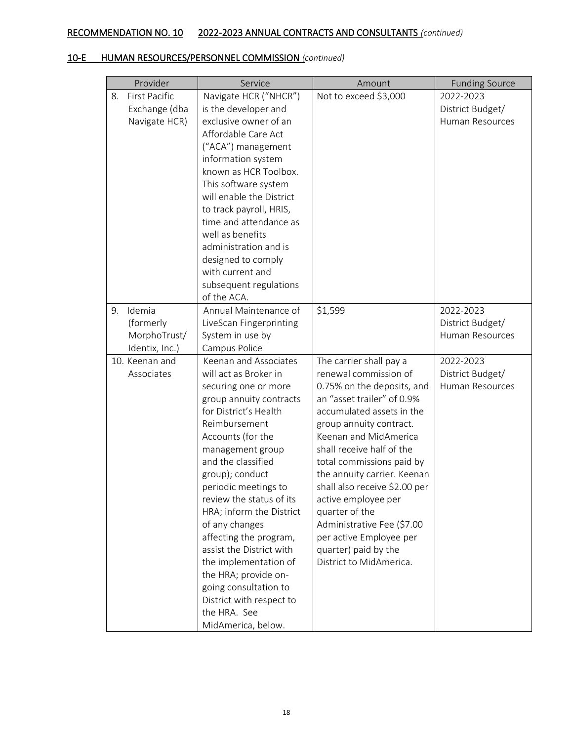|    | Provider                                               | Service                                                                                                                                                                                                                                                                                                                                                                                                                                                                                                                           | Amount                                                                                                                                                                                                                                                                                                                                                                                                                                                                       | <b>Funding Source</b>                            |
|----|--------------------------------------------------------|-----------------------------------------------------------------------------------------------------------------------------------------------------------------------------------------------------------------------------------------------------------------------------------------------------------------------------------------------------------------------------------------------------------------------------------------------------------------------------------------------------------------------------------|------------------------------------------------------------------------------------------------------------------------------------------------------------------------------------------------------------------------------------------------------------------------------------------------------------------------------------------------------------------------------------------------------------------------------------------------------------------------------|--------------------------------------------------|
| 8. | <b>First Pacific</b><br>Exchange (dba<br>Navigate HCR) | Navigate HCR ("NHCR")<br>is the developer and<br>exclusive owner of an<br>Affordable Care Act<br>("ACA") management<br>information system<br>known as HCR Toolbox.<br>This software system<br>will enable the District<br>to track payroll, HRIS,<br>time and attendance as<br>well as benefits<br>administration and is<br>designed to comply<br>with current and<br>subsequent regulations<br>of the ACA.                                                                                                                       | Not to exceed \$3,000                                                                                                                                                                                                                                                                                                                                                                                                                                                        | 2022-2023<br>District Budget/<br>Human Resources |
| 9. | Idemia<br>(formerly<br>MorphoTrust/<br>Identix, Inc.)  | Annual Maintenance of<br>LiveScan Fingerprinting<br>System in use by<br>Campus Police                                                                                                                                                                                                                                                                                                                                                                                                                                             | \$1,599                                                                                                                                                                                                                                                                                                                                                                                                                                                                      | 2022-2023<br>District Budget/<br>Human Resources |
|    | 10. Keenan and<br>Associates                           | Keenan and Associates<br>will act as Broker in<br>securing one or more<br>group annuity contracts<br>for District's Health<br>Reimbursement<br>Accounts (for the<br>management group<br>and the classified<br>group); conduct<br>periodic meetings to<br>review the status of its<br>HRA; inform the District<br>of any changes<br>affecting the program,<br>assist the District with<br>the implementation of<br>the HRA; provide on-<br>going consultation to<br>District with respect to<br>the HRA. See<br>MidAmerica, below. | The carrier shall pay a<br>renewal commission of<br>0.75% on the deposits, and<br>an "asset trailer" of 0.9%<br>accumulated assets in the<br>group annuity contract.<br>Keenan and MidAmerica<br>shall receive half of the<br>total commissions paid by<br>the annuity carrier. Keenan<br>shall also receive \$2.00 per<br>active employee per<br>quarter of the<br>Administrative Fee (\$7.00<br>per active Employee per<br>quarter) paid by the<br>District to MidAmerica. | 2022-2023<br>District Budget/<br>Human Resources |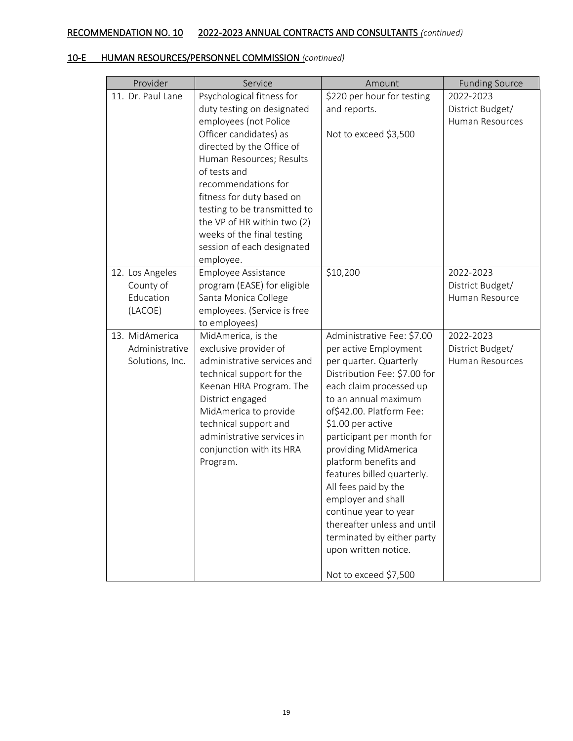| Provider                                             | Service                                                                                                                                                                                                                                                                                                 | Amount                                                                                                                                                                                                                                                                                                                                                                                                                                                                                    | <b>Funding Source</b>                            |
|------------------------------------------------------|---------------------------------------------------------------------------------------------------------------------------------------------------------------------------------------------------------------------------------------------------------------------------------------------------------|-------------------------------------------------------------------------------------------------------------------------------------------------------------------------------------------------------------------------------------------------------------------------------------------------------------------------------------------------------------------------------------------------------------------------------------------------------------------------------------------|--------------------------------------------------|
| 11. Dr. Paul Lane                                    | Psychological fitness for<br>duty testing on designated                                                                                                                                                                                                                                                 | \$220 per hour for testing<br>and reports.                                                                                                                                                                                                                                                                                                                                                                                                                                                | 2022-2023<br>District Budget/                    |
|                                                      | employees (not Police<br>Officer candidates) as<br>directed by the Office of<br>Human Resources; Results<br>of tests and<br>recommendations for<br>fitness for duty based on<br>testing to be transmitted to<br>the VP of HR within two (2)<br>weeks of the final testing<br>session of each designated | Not to exceed \$3,500                                                                                                                                                                                                                                                                                                                                                                                                                                                                     | Human Resources                                  |
| 12. Los Angeles<br>County of<br>Education<br>(LACOE) | employee.<br>Employee Assistance<br>program (EASE) for eligible<br>Santa Monica College<br>employees. (Service is free                                                                                                                                                                                  | \$10,200                                                                                                                                                                                                                                                                                                                                                                                                                                                                                  | 2022-2023<br>District Budget/<br>Human Resource  |
| 13. MidAmerica<br>Administrative<br>Solutions, Inc.  | to employees)<br>MidAmerica, is the<br>exclusive provider of<br>administrative services and<br>technical support for the<br>Keenan HRA Program. The<br>District engaged<br>MidAmerica to provide<br>technical support and<br>administrative services in<br>conjunction with its HRA<br>Program.         | Administrative Fee: \$7.00<br>per active Employment<br>per quarter. Quarterly<br>Distribution Fee: \$7.00 for<br>each claim processed up<br>to an annual maximum<br>of\$42.00. Platform Fee:<br>\$1.00 per active<br>participant per month for<br>providing MidAmerica<br>platform benefits and<br>features billed quarterly.<br>All fees paid by the<br>employer and shall<br>continue year to year<br>thereafter unless and until<br>terminated by either party<br>upon written notice. | 2022-2023<br>District Budget/<br>Human Resources |
|                                                      |                                                                                                                                                                                                                                                                                                         | Not to exceed \$7,500                                                                                                                                                                                                                                                                                                                                                                                                                                                                     |                                                  |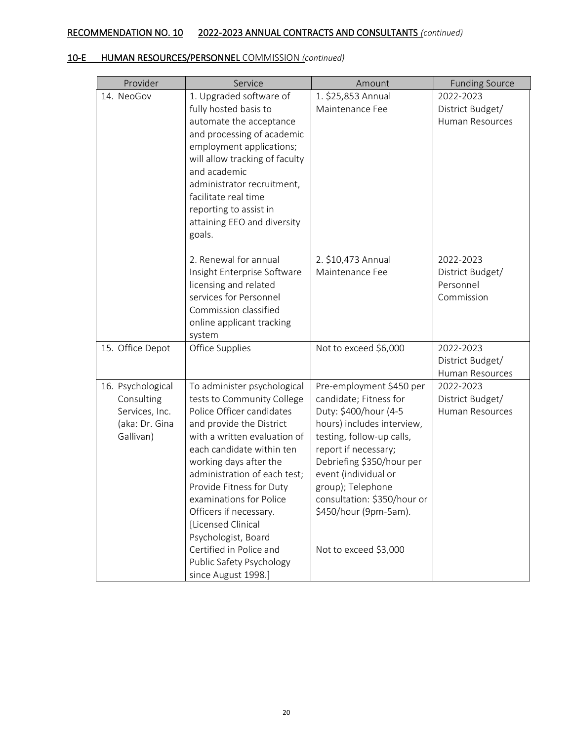| Provider                                                                         | Service                                                                                                                                                                                                                                                                                                                                                                                                                                               | Amount                                                                                                                                                                                                                                                                                                                    | <b>Funding Source</b>                                    |
|----------------------------------------------------------------------------------|-------------------------------------------------------------------------------------------------------------------------------------------------------------------------------------------------------------------------------------------------------------------------------------------------------------------------------------------------------------------------------------------------------------------------------------------------------|---------------------------------------------------------------------------------------------------------------------------------------------------------------------------------------------------------------------------------------------------------------------------------------------------------------------------|----------------------------------------------------------|
| 14. NeoGov                                                                       | 1. Upgraded software of<br>fully hosted basis to<br>automate the acceptance<br>and processing of academic<br>employment applications;<br>will allow tracking of faculty<br>and academic<br>administrator recruitment,<br>facilitate real time<br>reporting to assist in<br>attaining EEO and diversity<br>goals.                                                                                                                                      | 1. \$25,853 Annual<br>Maintenance Fee                                                                                                                                                                                                                                                                                     | 2022-2023<br>District Budget/<br>Human Resources         |
|                                                                                  | 2. Renewal for annual<br>Insight Enterprise Software<br>licensing and related<br>services for Personnel<br>Commission classified<br>online applicant tracking<br>system                                                                                                                                                                                                                                                                               | 2. \$10,473 Annual<br>Maintenance Fee                                                                                                                                                                                                                                                                                     | 2022-2023<br>District Budget/<br>Personnel<br>Commission |
| 15. Office Depot                                                                 | Office Supplies                                                                                                                                                                                                                                                                                                                                                                                                                                       | Not to exceed \$6,000                                                                                                                                                                                                                                                                                                     | 2022-2023<br>District Budget/<br>Human Resources         |
| 16. Psychological<br>Consulting<br>Services, Inc.<br>(aka: Dr. Gina<br>Gallivan) | To administer psychological<br>tests to Community College<br>Police Officer candidates<br>and provide the District<br>with a written evaluation of<br>each candidate within ten<br>working days after the<br>administration of each test;<br>Provide Fitness for Duty<br>examinations for Police<br>Officers if necessary.<br>[Licensed Clinical<br>Psychologist, Board<br>Certified in Police and<br>Public Safety Psychology<br>since August 1998.] | Pre-employment \$450 per<br>candidate; Fitness for<br>Duty: \$400/hour (4-5<br>hours) includes interview,<br>testing, follow-up calls,<br>report if necessary;<br>Debriefing \$350/hour per<br>event (individual or<br>group); Telephone<br>consultation: \$350/hour or<br>\$450/hour (9pm-5am).<br>Not to exceed \$3,000 | 2022-2023<br>District Budget/<br>Human Resources         |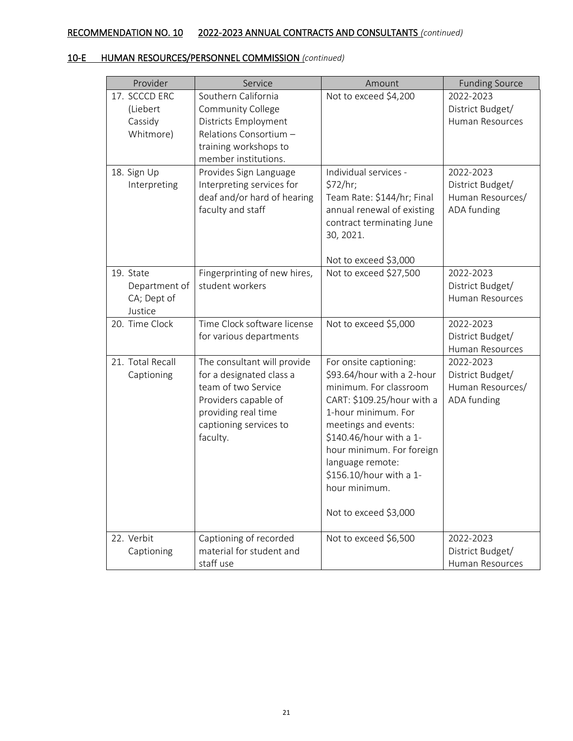| Provider                                             | Service                                                                                                                                                             | Amount                                                                                                                                                                                                                                                                                                       | <b>Funding Source</b>                                            |
|------------------------------------------------------|---------------------------------------------------------------------------------------------------------------------------------------------------------------------|--------------------------------------------------------------------------------------------------------------------------------------------------------------------------------------------------------------------------------------------------------------------------------------------------------------|------------------------------------------------------------------|
| 17. SCCCD ERC<br>(Liebert<br>Cassidy<br>Whitmore)    | Southern California<br>Community College<br>Districts Employment<br>Relations Consortium -<br>training workshops to<br>member institutions.                         | Not to exceed \$4,200                                                                                                                                                                                                                                                                                        | 2022-2023<br>District Budget/<br>Human Resources                 |
| 18. Sign Up<br>Interpreting                          | Provides Sign Language<br>Interpreting services for<br>deaf and/or hard of hearing<br>faculty and staff                                                             | Individual services -<br>\$72/hr;<br>Team Rate: \$144/hr; Final<br>annual renewal of existing<br>contract terminating June<br>30, 2021.<br>Not to exceed \$3,000                                                                                                                                             | 2022-2023<br>District Budget/<br>Human Resources/<br>ADA funding |
| 19. State<br>Department of<br>CA; Dept of<br>Justice | Fingerprinting of new hires,<br>student workers                                                                                                                     | Not to exceed \$27,500                                                                                                                                                                                                                                                                                       | 2022-2023<br>District Budget/<br>Human Resources                 |
| 20. Time Clock                                       | Time Clock software license<br>for various departments                                                                                                              | Not to exceed \$5,000                                                                                                                                                                                                                                                                                        | 2022-2023<br>District Budget/<br>Human Resources                 |
| 21. Total Recall<br>Captioning                       | The consultant will provide<br>for a designated class a<br>team of two Service<br>Providers capable of<br>providing real time<br>captioning services to<br>faculty. | For onsite captioning:<br>\$93.64/hour with a 2-hour<br>minimum. For classroom<br>CART: \$109.25/hour with a<br>1-hour minimum. For<br>meetings and events:<br>\$140.46/hour with a 1-<br>hour minimum. For foreign<br>language remote:<br>\$156.10/hour with a 1-<br>hour minimum.<br>Not to exceed \$3,000 | 2022-2023<br>District Budget/<br>Human Resources/<br>ADA funding |
| 22. Verbit<br>Captioning                             | Captioning of recorded<br>material for student and<br>staff use                                                                                                     | Not to exceed \$6,500                                                                                                                                                                                                                                                                                        | 2022-2023<br>District Budget/<br>Human Resources                 |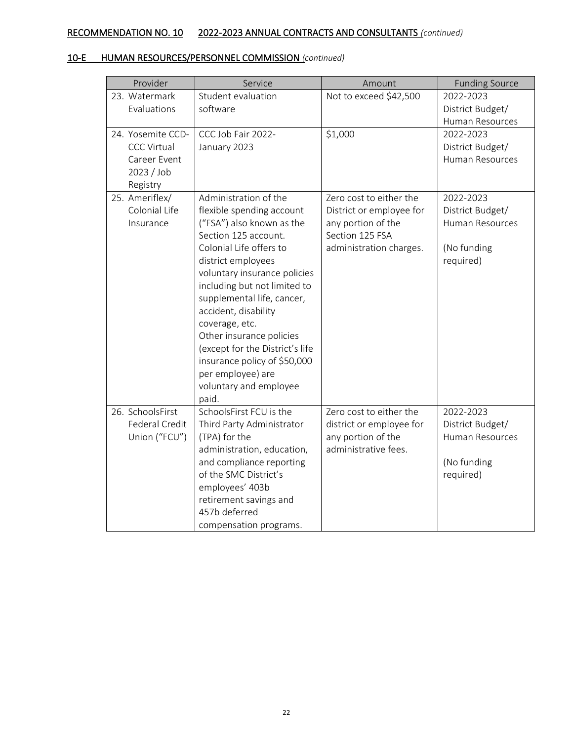| Provider                                                                          | Service                                                                                                                                                                                                                                                                                                                                                                                                                                                 | Amount                                                                                                                  | <b>Funding Source</b>                                                        |
|-----------------------------------------------------------------------------------|---------------------------------------------------------------------------------------------------------------------------------------------------------------------------------------------------------------------------------------------------------------------------------------------------------------------------------------------------------------------------------------------------------------------------------------------------------|-------------------------------------------------------------------------------------------------------------------------|------------------------------------------------------------------------------|
| 23. Watermark<br>Evaluations                                                      | Student evaluation<br>software                                                                                                                                                                                                                                                                                                                                                                                                                          | Not to exceed \$42,500                                                                                                  | 2022-2023<br>District Budget/<br><b>Human Resources</b>                      |
| 24. Yosemite CCD-<br><b>CCC Virtual</b><br>Career Event<br>2023 / Job<br>Registry | CCC Job Fair 2022-<br>January 2023                                                                                                                                                                                                                                                                                                                                                                                                                      | \$1,000                                                                                                                 | 2022-2023<br>District Budget/<br>Human Resources                             |
| 25. Ameriflex/<br>Colonial Life<br>Insurance                                      | Administration of the<br>flexible spending account<br>("FSA") also known as the<br>Section 125 account.<br>Colonial Life offers to<br>district employees<br>voluntary insurance policies<br>including but not limited to<br>supplemental life, cancer,<br>accident, disability<br>coverage, etc.<br>Other insurance policies<br>(except for the District's life<br>insurance policy of \$50,000<br>per employee) are<br>voluntary and employee<br>paid. | Zero cost to either the<br>District or employee for<br>any portion of the<br>Section 125 FSA<br>administration charges. | 2022-2023<br>District Budget/<br>Human Resources<br>(No funding<br>required) |
| 26. SchoolsFirst<br>Federal Credit<br>Union ("FCU")                               | SchoolsFirst FCU is the<br>Third Party Administrator<br>(TPA) for the<br>administration, education,<br>and compliance reporting<br>of the SMC District's<br>employees' 403b<br>retirement savings and<br>457b deferred<br>compensation programs.                                                                                                                                                                                                        | Zero cost to either the<br>district or employee for<br>any portion of the<br>administrative fees.                       | 2022-2023<br>District Budget/<br>Human Resources<br>(No funding<br>required) |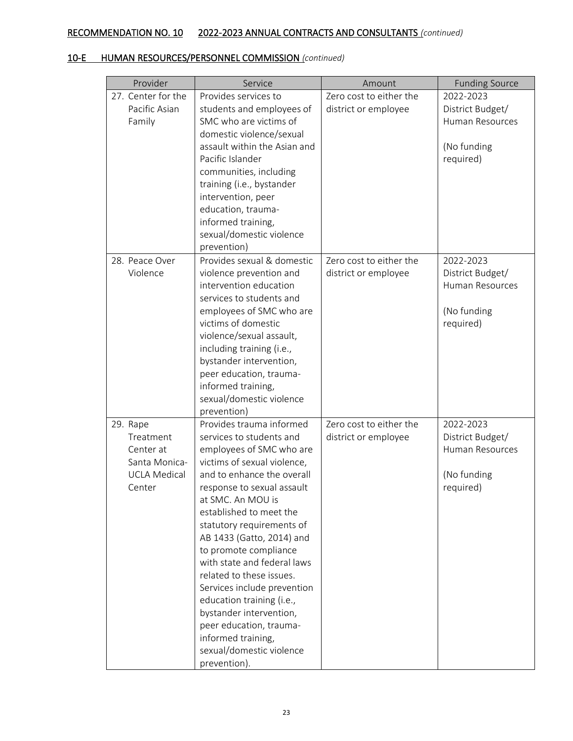| Provider                                                                             | Service                                                                                                                                                                                                                                                                                                                                                                                                                                                                                                                                                       | Amount                                          | <b>Funding Source</b>                                                        |
|--------------------------------------------------------------------------------------|---------------------------------------------------------------------------------------------------------------------------------------------------------------------------------------------------------------------------------------------------------------------------------------------------------------------------------------------------------------------------------------------------------------------------------------------------------------------------------------------------------------------------------------------------------------|-------------------------------------------------|------------------------------------------------------------------------------|
| 27. Center for the<br>Pacific Asian<br>Family                                        | Provides services to<br>students and employees of<br>SMC who are victims of<br>domestic violence/sexual                                                                                                                                                                                                                                                                                                                                                                                                                                                       | Zero cost to either the<br>district or employee | 2022-2023<br>District Budget/<br>Human Resources                             |
|                                                                                      | assault within the Asian and<br>Pacific Islander<br>communities, including<br>training (i.e., bystander<br>intervention, peer<br>education, trauma-<br>informed training,<br>sexual/domestic violence<br>prevention)                                                                                                                                                                                                                                                                                                                                          |                                                 | (No funding<br>required)                                                     |
| 28. Peace Over<br>Violence                                                           | Provides sexual & domestic<br>violence prevention and<br>intervention education<br>services to students and<br>employees of SMC who are<br>victims of domestic<br>violence/sexual assault,<br>including training (i.e.,<br>bystander intervention,<br>peer education, trauma-<br>informed training,<br>sexual/domestic violence<br>prevention)                                                                                                                                                                                                                | Zero cost to either the<br>district or employee | 2022-2023<br>District Budget/<br>Human Resources<br>(No funding<br>required) |
| 29. Rape<br>Treatment<br>Center at<br>Santa Monica-<br><b>UCLA Medical</b><br>Center | Provides trauma informed<br>services to students and<br>employees of SMC who are<br>victims of sexual violence,<br>and to enhance the overall<br>response to sexual assault<br>at SMC. An MOU is<br>established to meet the<br>statutory requirements of<br>AB 1433 (Gatto, 2014) and<br>to promote compliance<br>with state and federal laws<br>related to these issues.<br>Services include prevention<br>education training (i.e.,<br>bystander intervention,<br>peer education, trauma-<br>informed training,<br>sexual/domestic violence<br>prevention). | Zero cost to either the<br>district or employee | 2022-2023<br>District Budget/<br>Human Resources<br>(No funding<br>required) |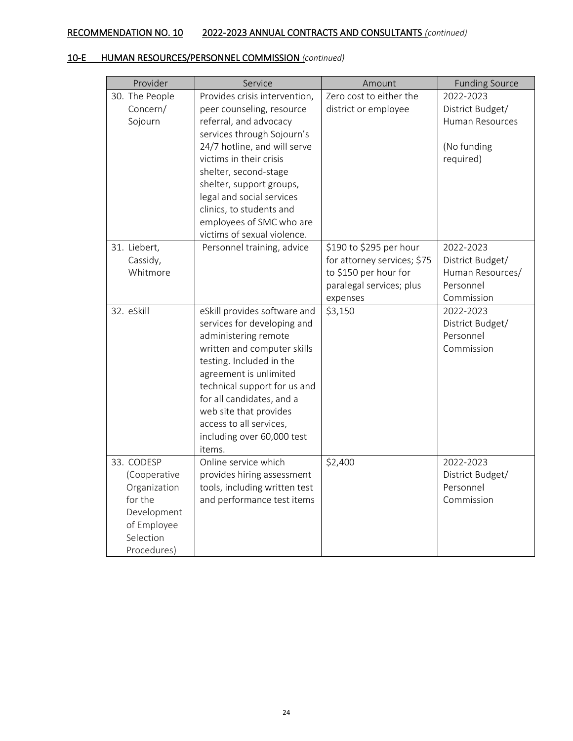| Provider                                                                                                        | Service                                                                                                                                                                                                                                                                                                                                                | Amount                                                                                                                  | <b>Funding Source</b>                                                        |
|-----------------------------------------------------------------------------------------------------------------|--------------------------------------------------------------------------------------------------------------------------------------------------------------------------------------------------------------------------------------------------------------------------------------------------------------------------------------------------------|-------------------------------------------------------------------------------------------------------------------------|------------------------------------------------------------------------------|
| 30. The People<br>Concern/<br>Sojourn                                                                           | Provides crisis intervention,<br>peer counseling, resource<br>referral, and advocacy<br>services through Sojourn's<br>24/7 hotline, and will serve<br>victims in their crisis<br>shelter, second-stage<br>shelter, support groups,<br>legal and social services<br>clinics, to students and<br>employees of SMC who are<br>victims of sexual violence. | Zero cost to either the<br>district or employee                                                                         | 2022-2023<br>District Budget/<br>Human Resources<br>(No funding<br>required) |
| 31. Liebert,<br>Cassidy,<br>Whitmore                                                                            | Personnel training, advice                                                                                                                                                                                                                                                                                                                             | \$190 to \$295 per hour<br>for attorney services; \$75<br>to \$150 per hour for<br>paralegal services; plus<br>expenses | 2022-2023<br>District Budget/<br>Human Resources/<br>Personnel<br>Commission |
| 32. eSkill                                                                                                      | eSkill provides software and<br>services for developing and<br>administering remote<br>written and computer skills<br>testing. Included in the<br>agreement is unlimited<br>technical support for us and<br>for all candidates, and a<br>web site that provides<br>access to all services,<br>including over 60,000 test<br>items.                     | \$3,150                                                                                                                 | 2022-2023<br>District Budget/<br>Personnel<br>Commission                     |
| 33. CODESP<br>(Cooperative<br>Organization<br>for the<br>Development<br>of Employee<br>Selection<br>Procedures) | Online service which<br>provides hiring assessment<br>tools, including written test<br>and performance test items                                                                                                                                                                                                                                      | \$2,400                                                                                                                 | 2022-2023<br>District Budget/<br>Personnel<br>Commission                     |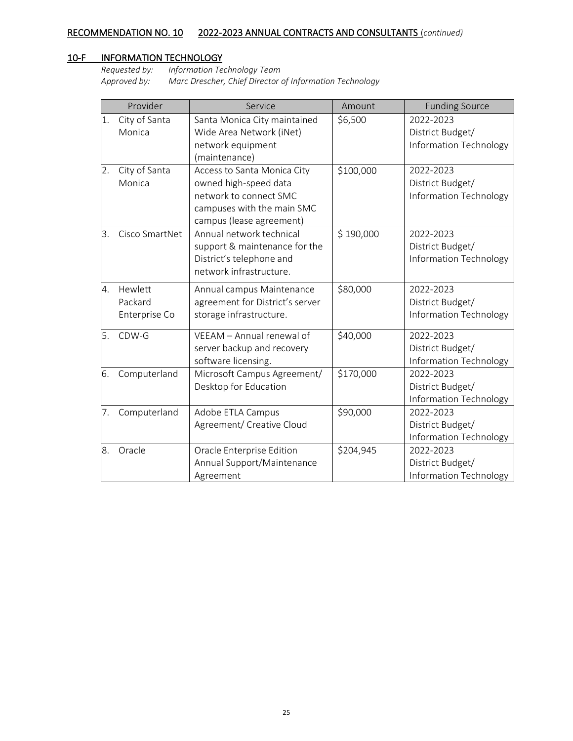## 10-F INFORMATION TECHNOLOGY

*Requested by: Information Technology Team Approved by: Marc Drescher, Chief Director of Information Technology*

|    | Provider       | Service                         | Amount    | <b>Funding Source</b>  |
|----|----------------|---------------------------------|-----------|------------------------|
| 1. | City of Santa  | Santa Monica City maintained    | \$6,500   | 2022-2023              |
|    | Monica         | Wide Area Network (iNet)        |           | District Budget/       |
|    |                | network equipment               |           | Information Technology |
|    |                | (maintenance)                   |           |                        |
| 2. | City of Santa  | Access to Santa Monica City     | \$100,000 | 2022-2023              |
|    | Monica         | owned high-speed data           |           | District Budget/       |
|    |                | network to connect SMC          |           | Information Technology |
|    |                | campuses with the main SMC      |           |                        |
|    |                | campus (lease agreement)        |           |                        |
| 3. | Cisco SmartNet | Annual network technical        | \$190,000 | 2022-2023              |
|    |                | support & maintenance for the   |           | District Budget/       |
|    |                | District's telephone and        |           | Information Technology |
|    |                | network infrastructure.         |           |                        |
| 4. | Hewlett        | Annual campus Maintenance       | \$80,000  | 2022-2023              |
|    | Packard        | agreement for District's server |           | District Budget/       |
|    | Enterprise Co  | storage infrastructure.         |           | Information Technology |
| 5. | CDW-G          | VEEAM - Annual renewal of       | \$40,000  | 2022-2023              |
|    |                | server backup and recovery      |           | District Budget/       |
|    |                | software licensing.             |           | Information Technology |
| 6. | Computerland   | Microsoft Campus Agreement/     | \$170,000 | 2022-2023              |
|    |                | Desktop for Education           |           | District Budget/       |
|    |                |                                 |           | Information Technology |
| 7. | Computerland   | Adobe ETLA Campus               | \$90,000  | 2022-2023              |
|    |                | Agreement/ Creative Cloud       |           | District Budget/       |
|    |                |                                 |           | Information Technology |
| 8. | Oracle         | Oracle Enterprise Edition       | \$204,945 | 2022-2023              |
|    |                | Annual Support/Maintenance      |           | District Budget/       |
|    |                | Agreement                       |           | Information Technology |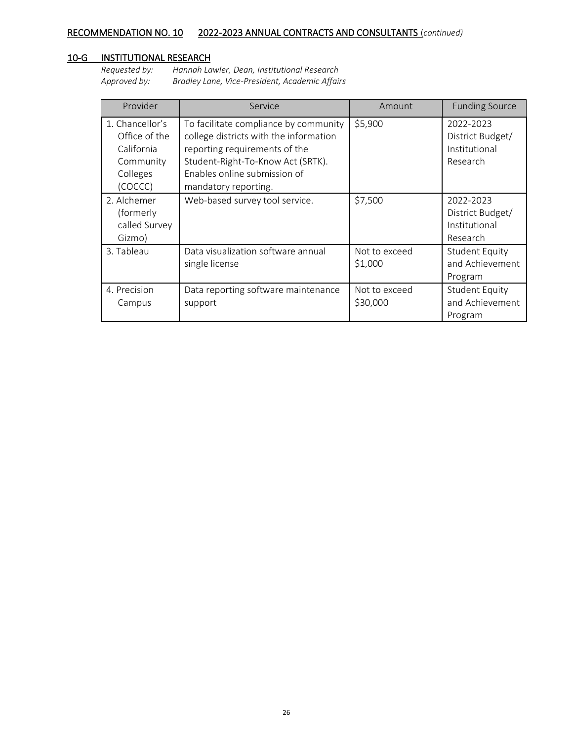## 10-G INSTITUTIONAL RESEARCH

*Requested by: Hannah Lawler, Dean, Institutional Research Approved by: Bradley Lane, Vice-President, Academic Affairs*

| Provider                                                                           | Service                                                                                                                                                                                                       | Amount                    | <b>Funding Source</b>                                      |
|------------------------------------------------------------------------------------|---------------------------------------------------------------------------------------------------------------------------------------------------------------------------------------------------------------|---------------------------|------------------------------------------------------------|
| 1. Chancellor's<br>Office of the<br>California<br>Community<br>Colleges<br>(COCCC) | To facilitate compliance by community<br>college districts with the information<br>reporting requirements of the<br>Student-Right-To-Know Act (SRTK).<br>Enables online submission of<br>mandatory reporting. | \$5,900                   | 2022-2023<br>District Budget/<br>Institutional<br>Research |
| 2. Alchemer<br>(formerly<br>called Survey<br>Gizmo)                                | Web-based survey tool service.                                                                                                                                                                                | \$7,500                   | 2022-2023<br>District Budget/<br>Institutional<br>Research |
| 3. Tableau                                                                         | Data visualization software annual<br>single license                                                                                                                                                          | Not to exceed<br>\$1,000  | <b>Student Equity</b><br>and Achievement<br>Program        |
| 4. Precision<br>Campus                                                             | Data reporting software maintenance<br>support                                                                                                                                                                | Not to exceed<br>\$30,000 | <b>Student Equity</b><br>and Achievement<br>Program        |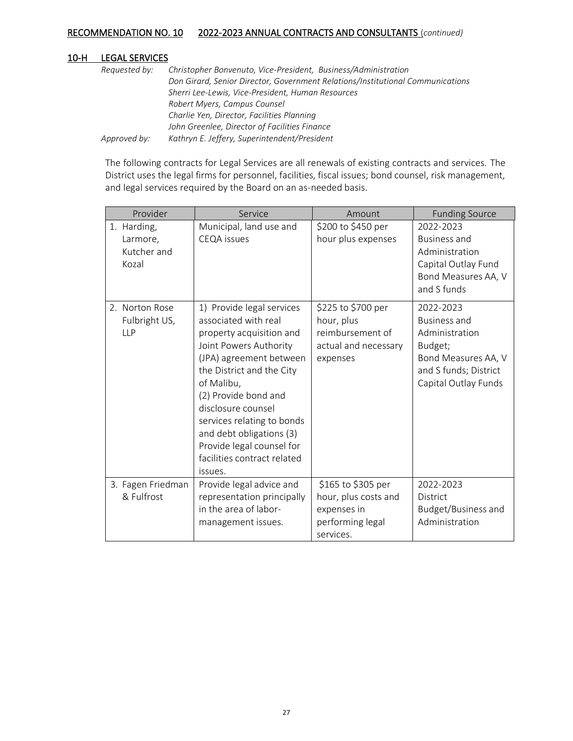#### 10-H LEGAL SERVICES

| Requested by: | Christopher Bonvenuto, Vice-President, Business/Administration                 |
|---------------|--------------------------------------------------------------------------------|
|               | Don Girard, Senior Director, Government Relations/Institutional Communications |
|               | Sherri Lee-Lewis, Vice-President, Human Resources                              |
|               | Robert Myers, Campus Counsel                                                   |
|               | Charlie Yen, Director, Facilities Planning                                     |
|               | John Greenlee, Director of Facilities Finance                                  |
| Approved by:  | Kathryn E. Jeffery, Superintendent/President                                   |

The following contracts for Legal Services are all renewals of existing contracts and services. The District uses the legal firms for personnel, facilities, fiscal issues; bond counsel, risk management, and legal services required by the Board on an as-needed basis.

| Provider                                        | Service                                                                                                                                                                                                                                                                                                                                                      | Amount                                                                                     | <b>Funding Source</b>                                                                                                          |
|-------------------------------------------------|--------------------------------------------------------------------------------------------------------------------------------------------------------------------------------------------------------------------------------------------------------------------------------------------------------------------------------------------------------------|--------------------------------------------------------------------------------------------|--------------------------------------------------------------------------------------------------------------------------------|
| 1. Harding,<br>Larmore,<br>Kutcher and<br>Kozal | Municipal, land use and<br><b>CEQA</b> issues                                                                                                                                                                                                                                                                                                                | \$200 to \$450 per<br>hour plus expenses                                                   | 2022-2023<br><b>Business and</b><br>Administration<br>Capital Outlay Fund<br>Bond Measures AA, V<br>and S funds                |
| 2. Norton Rose<br>Fulbright US,<br><b>LLP</b>   | 1) Provide legal services<br>associated with real<br>property acquisition and<br>Joint Powers Authority<br>(JPA) agreement between<br>the District and the City<br>of Malibu,<br>(2) Provide bond and<br>disclosure counsel<br>services relating to bonds<br>and debt obligations (3)<br>Provide legal counsel for<br>facilities contract related<br>issues. | \$225 to \$700 per<br>hour, plus<br>reimbursement of<br>actual and necessary<br>expenses   | 2022-2023<br>Business and<br>Administration<br>Budget;<br>Bond Measures AA, V<br>and S funds; District<br>Capital Outlay Funds |
| 3. Fagen Friedman<br>& Fulfrost                 | Provide legal advice and<br>representation principally<br>in the area of labor-<br>management issues.                                                                                                                                                                                                                                                        | \$165 to \$305 per<br>hour, plus costs and<br>expenses in<br>performing legal<br>services. | 2022-2023<br>District<br>Budget/Business and<br>Administration                                                                 |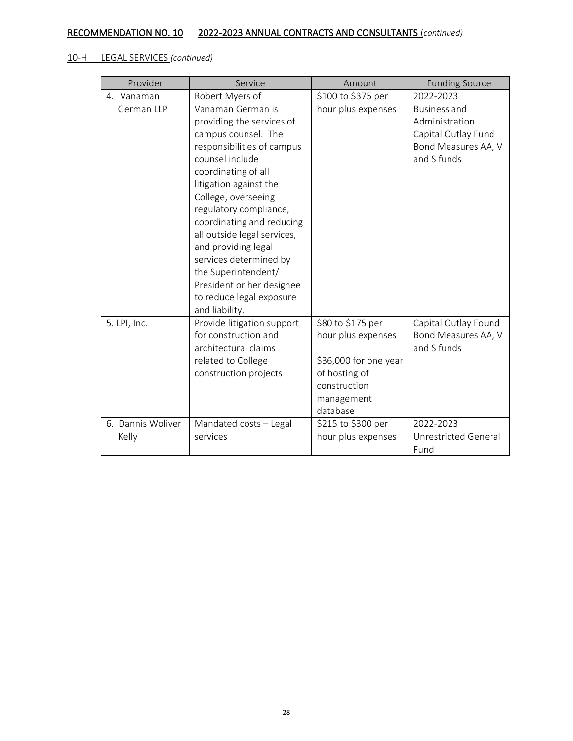## 10-H LEGAL SERVICES *(continued)*

| Provider          | Service                                                                                                                                                                                                                                                                                                                                                                                                               | Amount                                                           | <b>Funding Source</b>                                                                              |
|-------------------|-----------------------------------------------------------------------------------------------------------------------------------------------------------------------------------------------------------------------------------------------------------------------------------------------------------------------------------------------------------------------------------------------------------------------|------------------------------------------------------------------|----------------------------------------------------------------------------------------------------|
| 4. Vanaman        | Robert Myers of                                                                                                                                                                                                                                                                                                                                                                                                       | \$100 to \$375 per                                               | 2022-2023                                                                                          |
| German LLP        | Vanaman German is<br>providing the services of<br>campus counsel. The<br>responsibilities of campus<br>counsel include<br>coordinating of all<br>litigation against the<br>College, overseeing<br>regulatory compliance,<br>coordinating and reducing<br>all outside legal services,<br>and providing legal<br>services determined by<br>the Superintendent/<br>President or her designee<br>to reduce legal exposure | hour plus expenses                                               | <b>Business and</b><br>Administration<br>Capital Outlay Fund<br>Bond Measures AA, V<br>and S funds |
|                   | and liability.                                                                                                                                                                                                                                                                                                                                                                                                        |                                                                  |                                                                                                    |
| 5. LPI, Inc.      | Provide litigation support<br>for construction and<br>architectural claims<br>related to College                                                                                                                                                                                                                                                                                                                      | \$80 to \$175 per<br>hour plus expenses<br>\$36,000 for one year | Capital Outlay Found<br>Bond Measures AA, V<br>and S funds                                         |
|                   | construction projects                                                                                                                                                                                                                                                                                                                                                                                                 | of hosting of<br>construction                                    |                                                                                                    |
|                   |                                                                                                                                                                                                                                                                                                                                                                                                                       | management<br>database                                           |                                                                                                    |
| 6. Dannis Woliver | Mandated costs - Legal                                                                                                                                                                                                                                                                                                                                                                                                | \$215 to \$300 per                                               | 2022-2023                                                                                          |
| Kelly             | services                                                                                                                                                                                                                                                                                                                                                                                                              | hour plus expenses                                               | Unrestricted General                                                                               |
|                   |                                                                                                                                                                                                                                                                                                                                                                                                                       |                                                                  | Fund                                                                                               |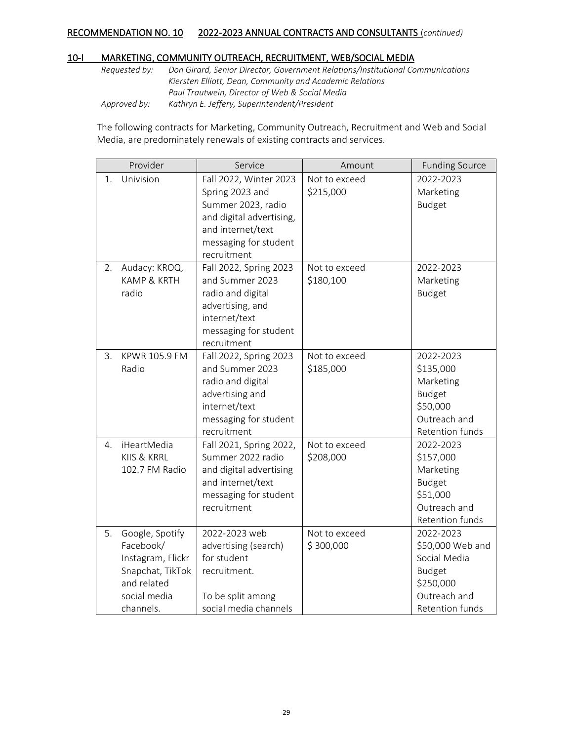#### 10-I MARKETING, COMMUNITY OUTREACH, RECRUITMENT, WEB/SOCIAL MEDIA

*Requested by: Don Girard, Senior Director, Government Relations/Institutional Communications Kiersten Elliott, Dean, Community and Academic Relations Paul Trautwein, Director of Web & Social Media Approved by: Kathryn E. Jeffery, Superintendent/President*

The following contracts for Marketing, Community Outreach, Recruitment and Web and Social Media, are predominately renewals of existing contracts and services.

|    | Provider                                                                                                          | Service                                                                                                                                                  | Amount                     | <b>Funding Source</b>                                                                                                 |
|----|-------------------------------------------------------------------------------------------------------------------|----------------------------------------------------------------------------------------------------------------------------------------------------------|----------------------------|-----------------------------------------------------------------------------------------------------------------------|
| 1. | Univision                                                                                                         | Fall 2022, Winter 2023<br>Spring 2023 and<br>Summer 2023, radio<br>and digital advertising,<br>and internet/text<br>messaging for student<br>recruitment | Not to exceed<br>\$215,000 | 2022-2023<br>Marketing<br><b>Budget</b>                                                                               |
| 2. | Audacy: KROQ,<br>KAMP & KRTH<br>radio                                                                             | Fall 2022, Spring 2023<br>and Summer 2023<br>radio and digital<br>advertising, and<br>internet/text<br>messaging for student<br>recruitment              | Not to exceed<br>\$180,100 | 2022-2023<br>Marketing<br><b>Budget</b>                                                                               |
| 3. | KPWR 105.9 FM<br>Radio                                                                                            | Fall 2022, Spring 2023<br>and Summer 2023<br>radio and digital<br>advertising and<br>internet/text<br>messaging for student<br>recruitment               | Not to exceed<br>\$185,000 | 2022-2023<br>\$135,000<br>Marketing<br><b>Budget</b><br>\$50,000<br>Outreach and<br>Retention funds                   |
| 4. | iHeartMedia<br>KIIS & KRRL<br>102.7 FM Radio                                                                      | Fall 2021, Spring 2022,<br>Summer 2022 radio<br>and digital advertising<br>and internet/text<br>messaging for student<br>recruitment                     | Not to exceed<br>\$208,000 | 2022-2023<br>\$157,000<br>Marketing<br><b>Budget</b><br>\$51,000<br>Outreach and<br>Retention funds                   |
| 5. | Google, Spotify<br>Facebook/<br>Instagram, Flickr<br>Snapchat, TikTok<br>and related<br>social media<br>channels. | 2022-2023 web<br>advertising (search)<br>for student<br>recruitment.<br>To be split among<br>social media channels                                       | Not to exceed<br>\$300,000 | 2022-2023<br>\$50,000 Web and<br>Social Media<br><b>Budget</b><br>\$250,000<br>Outreach and<br><b>Retention funds</b> |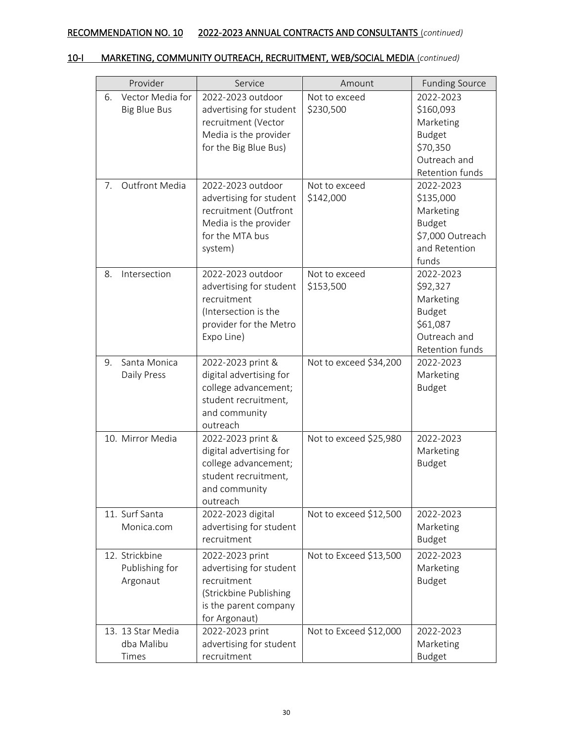| Provider                                           | Service                                                                                                                       | Amount                     | <b>Funding Source</b>                                                                               |
|----------------------------------------------------|-------------------------------------------------------------------------------------------------------------------------------|----------------------------|-----------------------------------------------------------------------------------------------------|
| Vector Media for<br>6.<br><b>Big Blue Bus</b>      | 2022-2023 outdoor<br>advertising for student<br>recruitment (Vector<br>Media is the provider<br>for the Big Blue Bus)         | Not to exceed<br>\$230,500 | 2022-2023<br>\$160,093<br>Marketing<br><b>Budget</b><br>\$70,350<br>Outreach and<br>Retention funds |
| Outfront Media<br>$7_{\scriptscriptstyle{\ddots}}$ | 2022-2023 outdoor<br>advertising for student<br>recruitment (Outfront<br>Media is the provider<br>for the MTA bus<br>system)  | Not to exceed<br>\$142,000 | 2022-2023<br>\$135,000<br>Marketing<br><b>Budget</b><br>\$7,000 Outreach<br>and Retention<br>funds  |
| 8.<br>Intersection                                 | 2022-2023 outdoor<br>advertising for student<br>recruitment<br>(Intersection is the<br>provider for the Metro<br>Expo Line)   | Not to exceed<br>\$153,500 | 2022-2023<br>\$92,327<br>Marketing<br><b>Budget</b><br>\$61,087<br>Outreach and<br>Retention funds  |
| Santa Monica<br>9.<br>Daily Press                  | 2022-2023 print &<br>digital advertising for<br>college advancement;<br>student recruitment,<br>and community<br>outreach     | Not to exceed \$34,200     | 2022-2023<br>Marketing<br>Budget                                                                    |
| 10. Mirror Media                                   | 2022-2023 print &<br>digital advertising for<br>college advancement;<br>student recruitment,<br>and community<br>outreach     | Not to exceed \$25,980     | 2022-2023<br>Marketing<br>Budget                                                                    |
| 11. Surf Santa<br>Monica.com                       | 2022-2023 digital<br>advertising for student<br>recruitment                                                                   | Not to exceed \$12,500     | 2022-2023<br>Marketing<br><b>Budget</b>                                                             |
| 12. Strickbine<br>Publishing for<br>Argonaut       | 2022-2023 print<br>advertising for student<br>recruitment<br>(Strickbine Publishing<br>is the parent company<br>for Argonaut) | Not to Exceed \$13,500     | 2022-2023<br>Marketing<br><b>Budget</b>                                                             |
| 13. 13 Star Media<br>dba Malibu<br>Times           | 2022-2023 print<br>advertising for student<br>recruitment                                                                     | Not to Exceed \$12,000     | 2022-2023<br>Marketing<br><b>Budget</b>                                                             |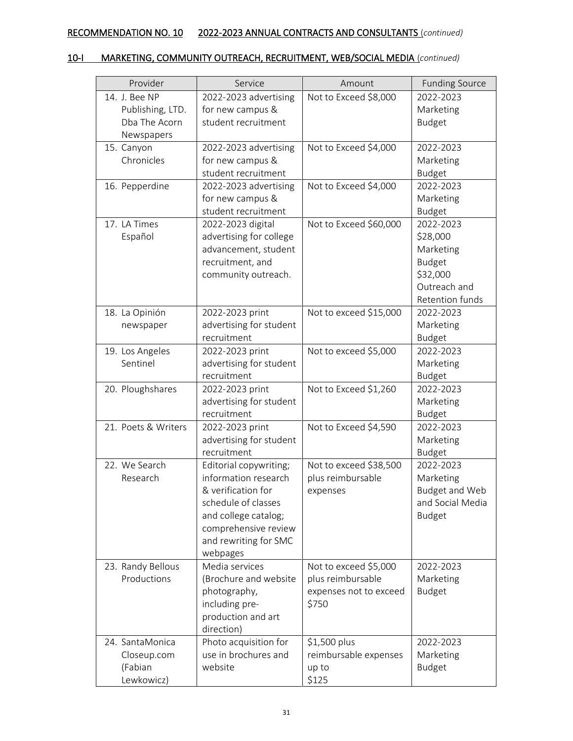| Provider            | Service                 | Amount                 | <b>Funding Source</b> |
|---------------------|-------------------------|------------------------|-----------------------|
| 14. J. Bee NP       | 2022-2023 advertising   | Not to Exceed \$8,000  | 2022-2023             |
| Publishing, LTD.    | for new campus &        |                        | Marketing             |
| Dba The Acorn       | student recruitment     |                        | <b>Budget</b>         |
| Newspapers          |                         |                        |                       |
| 15. Canyon          | 2022-2023 advertising   | Not to Exceed \$4,000  | 2022-2023             |
| Chronicles          | for new campus &        |                        | Marketing             |
|                     | student recruitment     |                        | <b>Budget</b>         |
| 16. Pepperdine      | 2022-2023 advertising   | Not to Exceed \$4,000  | 2022-2023             |
|                     | for new campus &        |                        | Marketing             |
|                     | student recruitment     |                        | <b>Budget</b>         |
| 17. LA Times        | 2022-2023 digital       | Not to Exceed \$60,000 | 2022-2023             |
| Español             | advertising for college |                        | \$28,000              |
|                     | advancement, student    |                        | Marketing             |
|                     | recruitment, and        |                        | <b>Budget</b>         |
|                     | community outreach.     |                        | \$32,000              |
|                     |                         |                        | Outreach and          |
|                     |                         |                        | Retention funds       |
| 18. La Opinión      | 2022-2023 print         | Not to exceed \$15,000 | 2022-2023             |
| newspaper           | advertising for student |                        | Marketing             |
|                     | recruitment             |                        | <b>Budget</b>         |
| 19. Los Angeles     | 2022-2023 print         | Not to exceed \$5,000  | 2022-2023             |
| Sentinel            | advertising for student |                        | Marketing             |
|                     | recruitment             |                        | <b>Budget</b>         |
| 20. Ploughshares    | 2022-2023 print         | Not to Exceed \$1,260  | 2022-2023             |
|                     | advertising for student |                        | Marketing             |
|                     | recruitment             |                        | <b>Budget</b>         |
| 21. Poets & Writers | 2022-2023 print         | Not to Exceed \$4,590  | 2022-2023             |
|                     | advertising for student |                        | Marketing             |
|                     | recruitment             |                        | <b>Budget</b>         |
| 22. We Search       | Editorial copywriting;  | Not to exceed \$38,500 | 2022-2023             |
| Research            | information research    | plus reimbursable      | Marketing             |
|                     | & verification for      | expenses               | <b>Budget and Web</b> |
|                     | schedule of classes     |                        | and Social Media      |
|                     | and college catalog;    |                        | <b>Budget</b>         |
|                     | comprehensive review    |                        |                       |
|                     | and rewriting for SMC   |                        |                       |
|                     | webpages                |                        |                       |
| 23. Randy Bellous   | Media services          | Not to exceed \$5,000  | 2022-2023             |
| Productions         | (Brochure and website   | plus reimbursable      | Marketing             |
|                     | photography,            | expenses not to exceed | <b>Budget</b>         |
|                     | including pre-          | \$750                  |                       |
|                     | production and art      |                        |                       |
|                     | direction)              |                        |                       |
| 24. SantaMonica     | Photo acquisition for   | \$1,500 plus           | 2022-2023             |
| Closeup.com         | use in brochures and    | reimbursable expenses  | Marketing             |
| (Fabian             | website                 | up to                  | <b>Budget</b>         |
| Lewkowicz)          |                         | \$125                  |                       |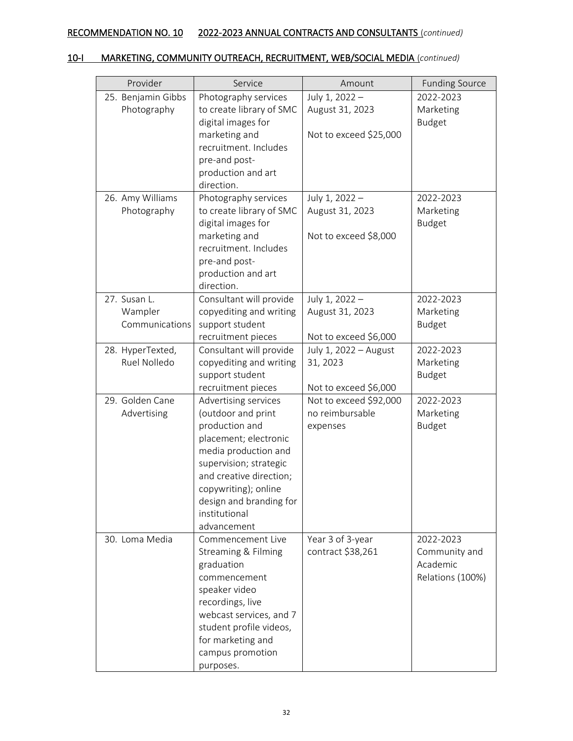| Provider           | Service                  | Amount                 | <b>Funding Source</b> |
|--------------------|--------------------------|------------------------|-----------------------|
| 25. Benjamin Gibbs | Photography services     | July 1, 2022 -         | 2022-2023             |
| Photography        | to create library of SMC | August 31, 2023        | Marketing             |
|                    | digital images for       |                        | <b>Budget</b>         |
|                    | marketing and            | Not to exceed \$25,000 |                       |
|                    | recruitment. Includes    |                        |                       |
|                    | pre-and post-            |                        |                       |
|                    | production and art       |                        |                       |
|                    | direction.               |                        |                       |
| 26. Amy Williams   | Photography services     | July 1, 2022 -         | 2022-2023             |
| Photography        | to create library of SMC | August 31, 2023        | Marketing             |
|                    | digital images for       |                        | <b>Budget</b>         |
|                    | marketing and            | Not to exceed \$8,000  |                       |
|                    | recruitment. Includes    |                        |                       |
|                    | pre-and post-            |                        |                       |
|                    | production and art       |                        |                       |
|                    | direction.               |                        |                       |
| 27. Susan L.       | Consultant will provide  | July 1, 2022 -         | 2022-2023             |
| Wampler            | copyediting and writing  | August 31, 2023        | Marketing             |
| Communications     | support student          |                        | <b>Budget</b>         |
|                    | recruitment pieces       | Not to exceed \$6,000  |                       |
| 28. HyperTexted,   | Consultant will provide  | July 1, 2022 - August  | 2022-2023             |
| Ruel Nolledo       | copyediting and writing  | 31, 2023               | Marketing             |
|                    | support student          |                        | <b>Budget</b>         |
|                    | recruitment pieces       | Not to exceed \$6,000  |                       |
| 29. Golden Cane    | Advertising services     | Not to exceed \$92,000 | 2022-2023             |
| Advertising        | (outdoor and print       | no reimbursable        | Marketing             |
|                    | production and           | expenses               | <b>Budget</b>         |
|                    | placement; electronic    |                        |                       |
|                    | media production and     |                        |                       |
|                    | supervision; strategic   |                        |                       |
|                    | and creative direction;  |                        |                       |
|                    | copywriting); online     |                        |                       |
|                    | design and branding for  |                        |                       |
|                    | institutional            |                        |                       |
|                    | advancement              |                        |                       |
| 30. Loma Media     | Commencement Live        | Year 3 of 3-year       | 2022-2023             |
|                    | Streaming & Filming      | contract \$38,261      | Community and         |
|                    | graduation               |                        | Academic              |
|                    | commencement             |                        | Relations (100%)      |
|                    | speaker video            |                        |                       |
|                    | recordings, live         |                        |                       |
|                    | webcast services, and 7  |                        |                       |
|                    | student profile videos,  |                        |                       |
|                    | for marketing and        |                        |                       |
|                    | campus promotion         |                        |                       |
|                    | purposes.                |                        |                       |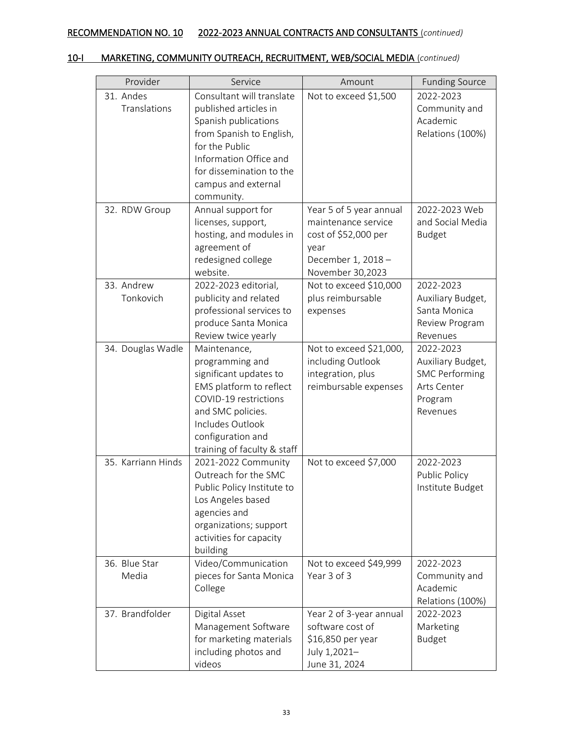| Provider           | Service                     | Amount                  | <b>Funding Source</b> |
|--------------------|-----------------------------|-------------------------|-----------------------|
| 31. Andes          | Consultant will translate   | Not to exceed \$1,500   | 2022-2023             |
| Translations       | published articles in       |                         | Community and         |
|                    |                             |                         | Academic              |
|                    | Spanish publications        |                         |                       |
|                    | from Spanish to English,    |                         | Relations (100%)      |
|                    | for the Public              |                         |                       |
|                    | Information Office and      |                         |                       |
|                    | for dissemination to the    |                         |                       |
|                    | campus and external         |                         |                       |
|                    | community.                  |                         |                       |
| 32. RDW Group      | Annual support for          | Year 5 of 5 year annual | 2022-2023 Web         |
|                    | licenses, support,          | maintenance service     | and Social Media      |
|                    | hosting, and modules in     | cost of \$52,000 per    | <b>Budget</b>         |
|                    | agreement of                | year                    |                       |
|                    | redesigned college          | December 1, 2018 -      |                       |
|                    | website.                    | November 30,2023        |                       |
| 33. Andrew         | 2022-2023 editorial,        | Not to exceed \$10,000  | 2022-2023             |
| Tonkovich          | publicity and related       | plus reimbursable       | Auxiliary Budget,     |
|                    | professional services to    | expenses                | Santa Monica          |
|                    | produce Santa Monica        |                         | Review Program        |
|                    | Review twice yearly         |                         | Revenues              |
| 34. Douglas Wadle  | Maintenance,                | Not to exceed \$21,000, | 2022-2023             |
|                    | programming and             | including Outlook       | Auxiliary Budget,     |
|                    | significant updates to      | integration, plus       | <b>SMC Performing</b> |
|                    | EMS platform to reflect     | reimbursable expenses   | Arts Center           |
|                    | COVID-19 restrictions       |                         | Program               |
|                    | and SMC policies.           |                         | Revenues              |
|                    | Includes Outlook            |                         |                       |
|                    | configuration and           |                         |                       |
|                    | training of faculty & staff |                         |                       |
| 35. Karriann Hinds | 2021-2022 Community         | Not to exceed \$7,000   | 2022-2023             |
|                    | Outreach for the SMC        |                         | Public Policy         |
|                    | Public Policy Institute to  |                         | Institute Budget      |
|                    | Los Angeles based           |                         |                       |
|                    | agencies and                |                         |                       |
|                    | organizations; support      |                         |                       |
|                    | activities for capacity     |                         |                       |
|                    | building                    |                         |                       |
| 36. Blue Star      | Video/Communication         | Not to exceed \$49,999  | 2022-2023             |
| Media              | pieces for Santa Monica     | Year 3 of 3             | Community and         |
|                    | College                     |                         | Academic              |
|                    |                             |                         | Relations (100%)      |
| 37. Brandfolder    | Digital Asset               | Year 2 of 3-year annual | 2022-2023             |
|                    | Management Software         | software cost of        | Marketing             |
|                    | for marketing materials     | \$16,850 per year       | <b>Budget</b>         |
|                    | including photos and        | July 1,2021-            |                       |
|                    | videos                      | June 31, 2024           |                       |
|                    |                             |                         |                       |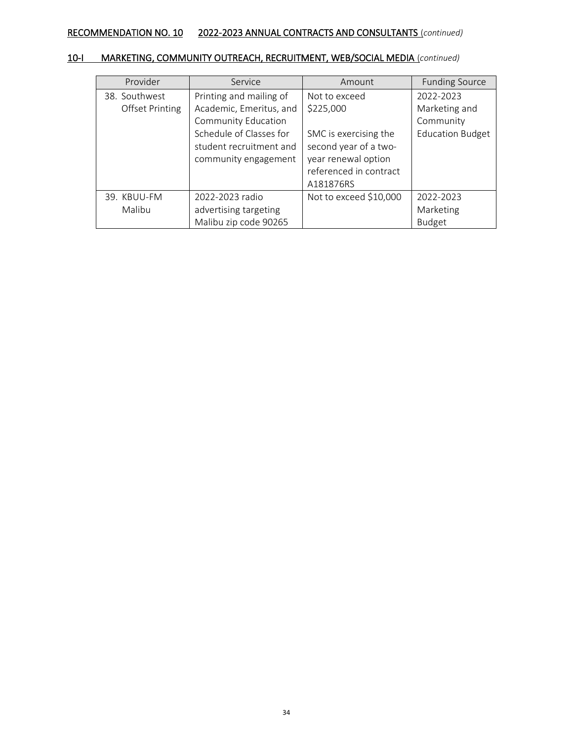| Provider               | Service                 | Amount                 | <b>Funding Source</b>   |
|------------------------|-------------------------|------------------------|-------------------------|
| 38. Southwest          | Printing and mailing of | Not to exceed          | 2022-2023               |
| <b>Offset Printing</b> | Academic, Emeritus, and | \$225,000              | Marketing and           |
|                        | Community Education     |                        | Community               |
|                        | Schedule of Classes for | SMC is exercising the  | <b>Education Budget</b> |
|                        | student recruitment and | second year of a two-  |                         |
|                        | community engagement    | year renewal option    |                         |
|                        |                         | referenced in contract |                         |
|                        |                         | A181876RS              |                         |
| 39. KBUU-FM            | 2022-2023 radio         | Not to exceed \$10,000 | 2022-2023               |
| Malibu                 | advertising targeting   |                        | Marketing               |
|                        | Malibu zip code 90265   |                        | <b>Budget</b>           |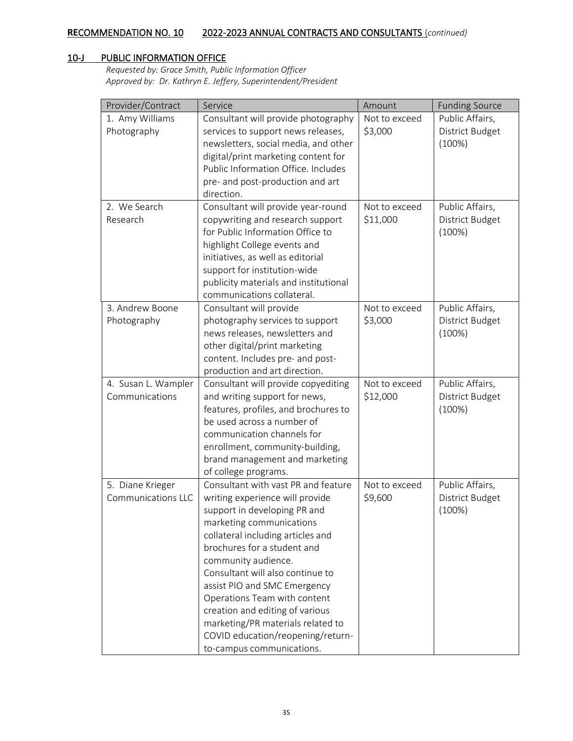## 10-J PUBLIC INFORMATION OFFICE

*Requested by: Grace Smith, Public Information Officer Approved by: Dr. Kathryn E. Jeffery, Superintendent/President*

| Provider/Contract         | Service                               | Amount        | <b>Funding Source</b> |
|---------------------------|---------------------------------------|---------------|-----------------------|
| 1. Amy Williams           | Consultant will provide photography   | Not to exceed | Public Affairs,       |
| Photography               | services to support news releases,    | \$3,000       | District Budget       |
|                           | newsletters, social media, and other  |               | (100%)                |
|                           | digital/print marketing content for   |               |                       |
|                           | Public Information Office. Includes   |               |                       |
|                           | pre- and post-production and art      |               |                       |
|                           | direction.                            |               |                       |
| 2. We Search              | Consultant will provide year-round    | Not to exceed | Public Affairs,       |
| Research                  | copywriting and research support      | \$11,000      | District Budget       |
|                           | for Public Information Office to      |               | (100%)                |
|                           | highlight College events and          |               |                       |
|                           | initiatives, as well as editorial     |               |                       |
|                           | support for institution-wide          |               |                       |
|                           | publicity materials and institutional |               |                       |
|                           | communications collateral.            |               |                       |
| 3. Andrew Boone           | Consultant will provide               | Not to exceed | Public Affairs,       |
| Photography               | photography services to support       | \$3,000       | District Budget       |
|                           | news releases, newsletters and        |               | (100%)                |
|                           | other digital/print marketing         |               |                       |
|                           | content. Includes pre- and post-      |               |                       |
|                           | production and art direction.         |               |                       |
| 4. Susan L. Wampler       | Consultant will provide copyediting   | Not to exceed | Public Affairs,       |
| Communications            | and writing support for news,         | \$12,000      | District Budget       |
|                           | features, profiles, and brochures to  |               | (100%)                |
|                           | be used across a number of            |               |                       |
|                           | communication channels for            |               |                       |
|                           | enrollment, community-building,       |               |                       |
|                           | brand management and marketing        |               |                       |
|                           | of college programs.                  |               |                       |
| 5. Diane Krieger          | Consultant with vast PR and feature   | Not to exceed | Public Affairs,       |
| <b>Communications LLC</b> | writing experience will provide       | \$9,600       | District Budget       |
|                           | support in developing PR and          |               | (100%)                |
|                           | marketing communications              |               |                       |
|                           | collateral including articles and     |               |                       |
|                           | brochures for a student and           |               |                       |
|                           | community audience.                   |               |                       |
|                           | Consultant will also continue to      |               |                       |
|                           | assist PIO and SMC Emergency          |               |                       |
|                           | Operations Team with content          |               |                       |
|                           | creation and editing of various       |               |                       |
|                           | marketing/PR materials related to     |               |                       |
|                           | COVID education/reopening/return-     |               |                       |
|                           | to-campus communications.             |               |                       |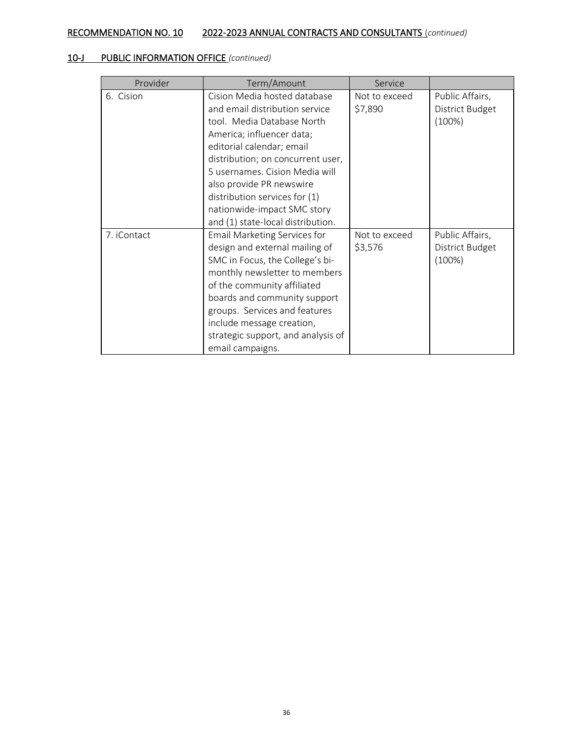# 10-J PUBLIC INFORMATION OFFICE *(continued)*

| Provider    | Term/Amount                                                                                                                                                                                                                                                                                                                                                    | Service                  |                                              |
|-------------|----------------------------------------------------------------------------------------------------------------------------------------------------------------------------------------------------------------------------------------------------------------------------------------------------------------------------------------------------------------|--------------------------|----------------------------------------------|
| 6. Cision   | Cision Media hosted database<br>and email distribution service<br>tool. Media Database North<br>America; influencer data;<br>editorial calendar; email<br>distribution; on concurrent user,<br>5 usernames. Cision Media will<br>also provide PR newswire<br>distribution services for (1)<br>nationwide-impact SMC story<br>and (1) state-local distribution. | Not to exceed<br>\$7,890 | Public Affairs,<br>District Budget<br>(100%) |
| 7. iContact | Email Marketing Services for<br>design and external mailing of<br>SMC in Focus, the College's bi-<br>monthly newsletter to members<br>of the community affiliated<br>boards and community support<br>groups. Services and features<br>include message creation,<br>strategic support, and analysis of<br>email campaigns.                                      | Not to exceed<br>\$3,576 | Public Affairs,<br>District Budget<br>(100%) |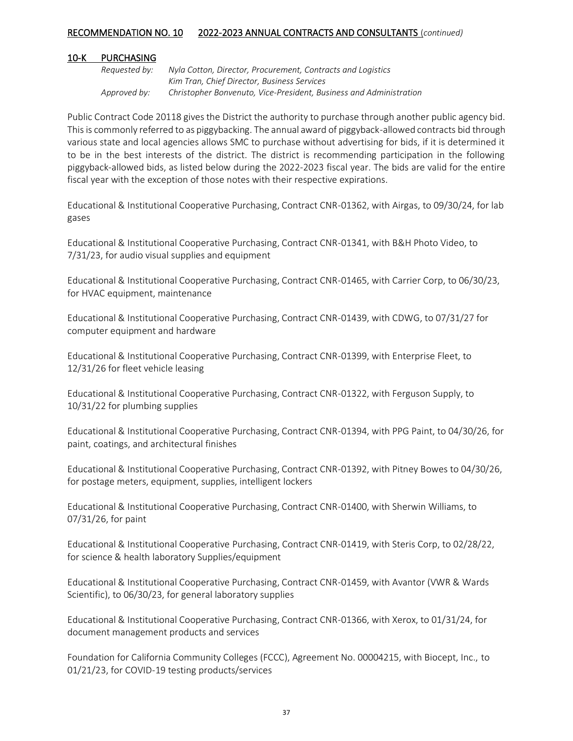#### 10-K PURCHASING

*Requested by: Nyla Cotton, Director, Procurement, Contracts and Logistics Kim Tran, Chief Director, Business Services Approved by: Christopher Bonvenuto, Vice-President, Business and Administration*

Public Contract Code 20118 gives the District the authority to purchase through another public agency bid. This is commonly referred to as piggybacking. The annual award of piggyback-allowed contracts bid through various state and local agencies allows SMC to purchase without advertising for bids, if it is determined it to be in the best interests of the district. The district is recommending participation in the following piggyback-allowed bids, as listed below during the 2022-2023 fiscal year. The bids are valid for the entire fiscal year with the exception of those notes with their respective expirations.

Educational & Institutional Cooperative Purchasing, Contract CNR-01362, with Airgas, to 09/30/24, for lab gases

Educational & Institutional Cooperative Purchasing, Contract CNR-01341, with B&H Photo Video, to 7/31/23, for audio visual supplies and equipment

Educational & Institutional Cooperative Purchasing, Contract CNR-01465, with Carrier Corp, to 06/30/23, for HVAC equipment, maintenance

Educational & Institutional Cooperative Purchasing, Contract CNR-01439, with CDWG, to 07/31/27 for computer equipment and hardware

Educational & Institutional Cooperative Purchasing, Contract CNR-01399, with Enterprise Fleet, to 12/31/26 for fleet vehicle leasing

Educational & Institutional Cooperative Purchasing, Contract CNR-01322, with Ferguson Supply, to 10/31/22 for plumbing supplies

Educational & Institutional Cooperative Purchasing, Contract CNR-01394, with PPG Paint, to 04/30/26, for paint, coatings, and architectural finishes

Educational & Institutional Cooperative Purchasing, Contract CNR-01392, with Pitney Bowes to 04/30/26, for postage meters, equipment, supplies, intelligent lockers

Educational & Institutional Cooperative Purchasing, Contract CNR-01400, with Sherwin Williams, to 07/31/26, for paint

Educational & Institutional Cooperative Purchasing, Contract CNR-01419, with Steris Corp, to 02/28/22, for science & health laboratory Supplies/equipment

Educational & Institutional Cooperative Purchasing, Contract CNR-01459, with Avantor (VWR & Wards Scientific), to 06/30/23, for general laboratory supplies

Educational & Institutional Cooperative Purchasing, Contract CNR-01366, with Xerox, to 01/31/24, for document management products and services

Foundation for California Community Colleges (FCCC), Agreement No. 00004215, with Biocept, Inc., to 01/21/23, for COVID-19 testing products/services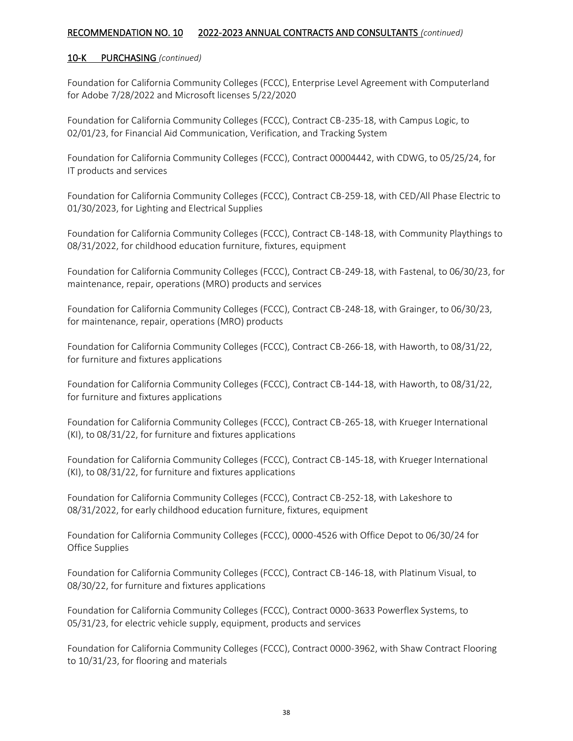#### 10-K PURCHASING *(continued)*

Foundation for California Community Colleges (FCCC), Enterprise Level Agreement with Computerland for Adobe 7/28/2022 and Microsoft licenses 5/22/2020

Foundation for California Community Colleges (FCCC), Contract CB-235-18, with Campus Logic, to 02/01/23, for Financial Aid Communication, Verification, and Tracking System

Foundation for California Community Colleges (FCCC), Contract 00004442, with CDWG, to 05/25/24, for IT products and services

Foundation for California Community Colleges (FCCC), Contract CB-259-18, with CED/All Phase Electric to 01/30/2023, for Lighting and Electrical Supplies

Foundation for California Community Colleges (FCCC), Contract CB-148-18, with Community Playthings to 08/31/2022, for childhood education furniture, fixtures, equipment

Foundation for California Community Colleges (FCCC), Contract CB-249-18, with Fastenal, to 06/30/23, for maintenance, repair, operations (MRO) products and services

Foundation for California Community Colleges (FCCC), Contract CB-248-18, with Grainger, to 06/30/23, for maintenance, repair, operations (MRO) products

Foundation for California Community Colleges (FCCC), Contract CB-266-18, with Haworth, to 08/31/22, for furniture and fixtures applications

Foundation for California Community Colleges (FCCC), Contract CB-144-18, with Haworth, to 08/31/22, for furniture and fixtures applications

Foundation for California Community Colleges (FCCC), Contract CB-265-18, with Krueger International (KI), to 08/31/22, for furniture and fixtures applications

Foundation for California Community Colleges (FCCC), Contract CB-145-18, with Krueger International (KI), to 08/31/22, for furniture and fixtures applications

Foundation for California Community Colleges (FCCC), Contract CB-252-18, with Lakeshore to 08/31/2022, for early childhood education furniture, fixtures, equipment

Foundation for California Community Colleges (FCCC), 0000-4526 with Office Depot to 06/30/24 for Office Supplies

Foundation for California Community Colleges (FCCC), Contract CB-146-18, with Platinum Visual, to 08/30/22, for furniture and fixtures applications

Foundation for California Community Colleges (FCCC), Contract 0000-3633 Powerflex Systems, to 05/31/23, for electric vehicle supply, equipment, products and services

Foundation for California Community Colleges (FCCC), Contract 0000-3962, with Shaw Contract Flooring to 10/31/23, for flooring and materials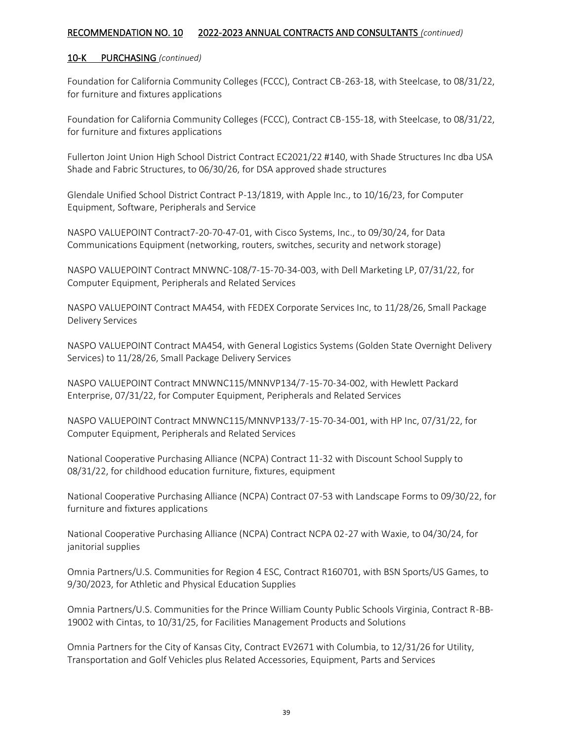#### 10-K PURCHASING *(continued)*

Foundation for California Community Colleges (FCCC), Contract CB-263-18, with Steelcase, to 08/31/22, for furniture and fixtures applications

Foundation for California Community Colleges (FCCC), Contract CB-155-18, with Steelcase, to 08/31/22, for furniture and fixtures applications

Fullerton Joint Union High School District Contract EC2021/22 #140, with Shade Structures Inc dba USA Shade and Fabric Structures, to 06/30/26, for DSA approved shade structures

Glendale Unified School District Contract P-13/1819, with Apple Inc., to 10/16/23, for Computer Equipment, Software, Peripherals and Service

NASPO VALUEPOINT Contract7-20-70-47-01, with Cisco Systems, Inc., to 09/30/24, for Data Communications Equipment (networking, routers, switches, security and network storage)

NASPO VALUEPOINT Contract MNWNC-108/7-15-70-34-003, with Dell Marketing LP, 07/31/22, for Computer Equipment, Peripherals and Related Services

NASPO VALUEPOINT Contract MA454, with FEDEX Corporate Services Inc, to 11/28/26, Small Package Delivery Services

NASPO VALUEPOINT Contract MA454, with General Logistics Systems (Golden State Overnight Delivery Services) to 11/28/26, Small Package Delivery Services

NASPO VALUEPOINT Contract MNWNC115/MNNVP134/7-15-70-34-002, with Hewlett Packard Enterprise, 07/31/22, for Computer Equipment, Peripherals and Related Services

NASPO VALUEPOINT Contract MNWNC115/MNNVP133/7-15-70-34-001, with HP Inc, 07/31/22, for Computer Equipment, Peripherals and Related Services

National Cooperative Purchasing Alliance (NCPA) Contract 11-32 with Discount School Supply to 08/31/22, for childhood education furniture, fixtures, equipment

National Cooperative Purchasing Alliance (NCPA) Contract 07-53 with Landscape Forms to 09/30/22, for furniture and fixtures applications

National Cooperative Purchasing Alliance (NCPA) Contract NCPA 02-27 with Waxie, to 04/30/24, for janitorial supplies

Omnia Partners/U.S. Communities for Region 4 ESC, Contract R160701, with BSN Sports/US Games, to 9/30/2023, for Athletic and Physical Education Supplies

Omnia Partners/U.S. Communities for the Prince William County Public Schools Virginia, Contract R-BB-19002 with Cintas, to 10/31/25, for Facilities Management Products and Solutions

Omnia Partners for the City of Kansas City, Contract EV2671 with Columbia, to 12/31/26 for Utility, Transportation and Golf Vehicles plus Related Accessories, Equipment, Parts and Services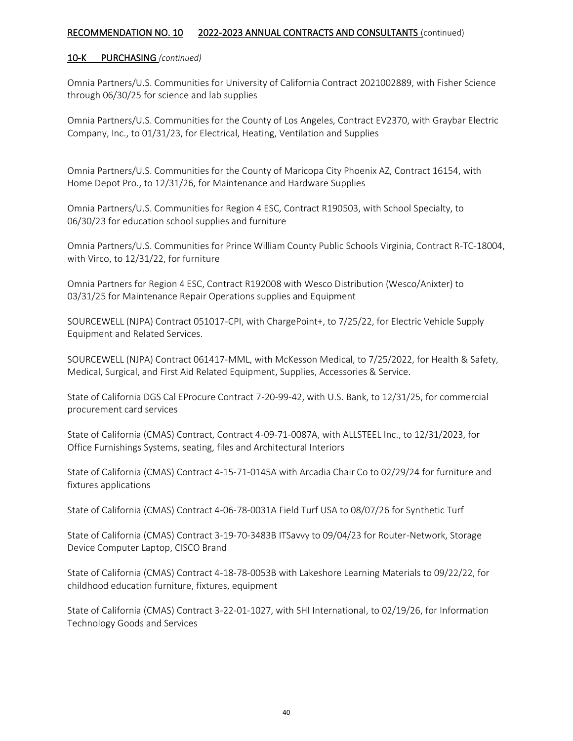#### 10-K PURCHASING *(continued)*

Omnia Partners/U.S. Communities for University of California Contract 2021002889, with Fisher Science through 06/30/25 for science and lab supplies

Omnia Partners/U.S. Communities for the County of Los Angeles, Contract EV2370, with Graybar Electric Company, Inc., to 01/31/23, for Electrical, Heating, Ventilation and Supplies

Omnia Partners/U.S. Communities for the County of Maricopa City Phoenix AZ, Contract 16154, with Home Depot Pro., to 12/31/26, for Maintenance and Hardware Supplies

Omnia Partners/U.S. Communities for Region 4 ESC, Contract R190503, with School Specialty, to 06/30/23 for education school supplies and furniture

Omnia Partners/U.S. Communities for Prince William County Public Schools Virginia, Contract R-TC-18004, with Virco, to 12/31/22, for furniture

Omnia Partners for Region 4 ESC, Contract R192008 with Wesco Distribution (Wesco/Anixter) to 03/31/25 for Maintenance Repair Operations supplies and Equipment

SOURCEWELL (NJPA) Contract 051017-CPI, with ChargePoint+, to 7/25/22, for Electric Vehicle Supply Equipment and Related Services.

SOURCEWELL (NJPA) Contract 061417-MML, with McKesson Medical, to 7/25/2022, for Health & Safety, Medical, Surgical, and First Aid Related Equipment, Supplies, Accessories & Service.

State of California DGS Cal EProcure Contract 7-20-99-42, with U.S. Bank, to 12/31/25, for commercial procurement card services

State of California (CMAS) Contract, Contract 4-09-71-0087A, with ALLSTEEL Inc., to 12/31/2023, for Office Furnishings Systems, seating, files and Architectural Interiors

State of California (CMAS) Contract 4-15-71-0145A with Arcadia Chair Co to 02/29/24 for furniture and fixtures applications

State of California (CMAS) Contract 4-06-78-0031A Field Turf USA to 08/07/26 for Synthetic Turf

State of California (CMAS) Contract 3-19-70-3483B ITSavvy to 09/04/23 for Router-Network, Storage Device Computer Laptop, CISCO Brand

State of California (CMAS) Contract 4-18-78-0053B with Lakeshore Learning Materials to 09/22/22, for childhood education furniture, fixtures, equipment

State of California (CMAS) Contract 3-22-01-1027, with SHI International, to 02/19/26, for Information Technology Goods and Services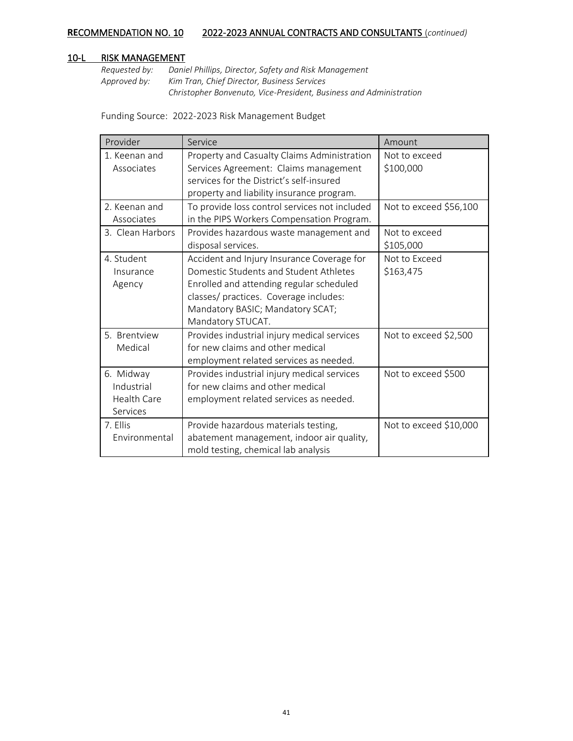#### 10-L RISK MANAGEMENT

*Requested by: Daniel Phillips, Director, Safety and Risk Management Approved by: Kim Tran, Chief Director, Business Services Christopher Bonvenuto, Vice-President, Business and Administration*

Funding Source: 2022-2023 Risk Management Budget

| Provider                                           | Service                                                                                                                                                                                                                             | Amount                     |
|----------------------------------------------------|-------------------------------------------------------------------------------------------------------------------------------------------------------------------------------------------------------------------------------------|----------------------------|
| 1. Keenan and<br>Associates                        | Property and Casualty Claims Administration<br>Services Agreement: Claims management<br>services for the District's self-insured<br>property and liability insurance program.                                                       | Not to exceed<br>\$100,000 |
| 2. Keenan and<br>Associates                        | To provide loss control services not included<br>in the PIPS Workers Compensation Program.                                                                                                                                          | Not to exceed \$56,100     |
| 3. Clean Harbors                                   | Provides hazardous waste management and<br>disposal services.                                                                                                                                                                       | Not to exceed<br>\$105,000 |
| 4. Student<br>Insurance<br>Agency                  | Accident and Injury Insurance Coverage for<br>Domestic Students and Student Athletes<br>Enrolled and attending regular scheduled<br>classes/ practices. Coverage includes:<br>Mandatory BASIC; Mandatory SCAT;<br>Mandatory STUCAT. | Not to Exceed<br>\$163,475 |
| 5. Brentview<br>Medical                            | Provides industrial injury medical services<br>for new claims and other medical<br>employment related services as needed.                                                                                                           | Not to exceed \$2,500      |
| 6. Midway<br>Industrial<br>Health Care<br>Services | Provides industrial injury medical services<br>for new claims and other medical<br>employment related services as needed.                                                                                                           | Not to exceed \$500        |
| 7. Ellis<br>Environmental                          | Provide hazardous materials testing,<br>abatement management, indoor air quality,<br>mold testing, chemical lab analysis                                                                                                            | Not to exceed \$10,000     |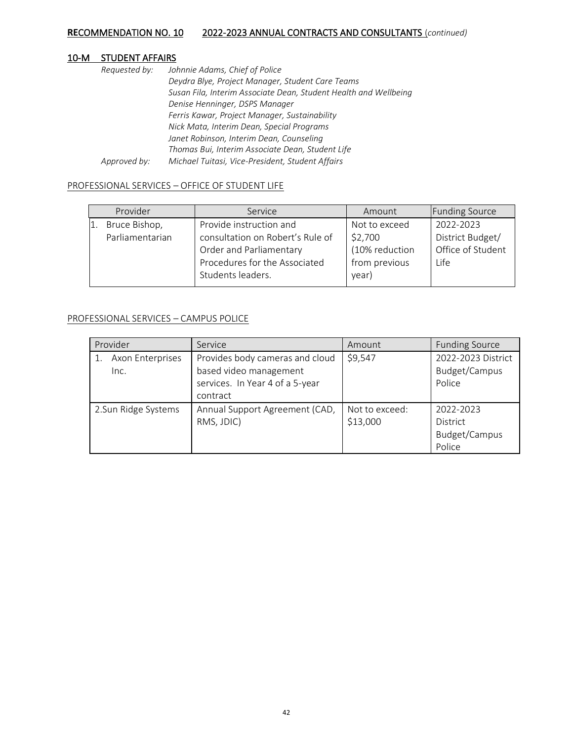## 10-M STUDENT AFFAIRS

| Requested by: | Johnnie Adams, Chief of Police                                   |
|---------------|------------------------------------------------------------------|
|               | Deydra Blye, Project Manager, Student Care Teams                 |
|               | Susan Fila, Interim Associate Dean, Student Health and Wellbeing |
|               | Denise Henninger, DSPS Manager                                   |
|               | Ferris Kawar, Project Manager, Sustainability                    |
|               | Nick Mata, Interim Dean, Special Programs                        |
|               | Janet Robinson, Interim Dean, Counseling                         |
|               | Thomas Bui, Interim Associate Dean, Student Life                 |
| Approved by:  | Michael Tuitasi, Vice-President, Student Affairs                 |

#### PROFESSIONAL SERVICES – OFFICE OF STUDENT LIFE

| Provider        | Service                          | Amount         | <b>Funding Source</b> |
|-----------------|----------------------------------|----------------|-----------------------|
| Bruce Bishop,   | Provide instruction and          | Not to exceed  | 2022-2023             |
| Parliamentarian | consultation on Robert's Rule of | \$2,700        | District Budget/      |
|                 | Order and Parliamentary          | (10% reduction | Office of Student     |
|                 | Procedures for the Associated    | from previous  | Life                  |
|                 | Students leaders.                | year)          |                       |

#### PROFESSIONAL SERVICES – CAMPUS POLICE

| Provider                 | Service                                                                                                  | Amount                     | <b>Funding Source</b>                                   |
|--------------------------|----------------------------------------------------------------------------------------------------------|----------------------------|---------------------------------------------------------|
| Axon Enterprises<br>Inc. | Provides body cameras and cloud<br>based video management<br>services. In Year 4 of a 5-year<br>contract | \$9,547                    | 2022-2023 District<br>Budget/Campus<br>Police           |
| 2.Sun Ridge Systems      | Annual Support Agreement (CAD,<br>RMS, JDIC)                                                             | Not to exceed:<br>\$13,000 | 2022-2023<br><b>District</b><br>Budget/Campus<br>Police |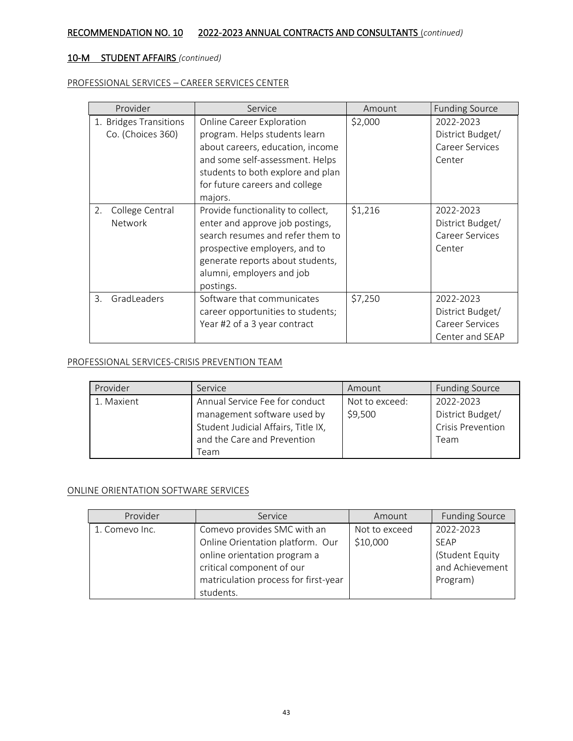### PROFESSIONAL SERVICES – CAREER SERVICES CENTER

| Provider                                    | Service                                                                                                                                                                                                                    | Amount  | <b>Funding Source</b>                                                      |
|---------------------------------------------|----------------------------------------------------------------------------------------------------------------------------------------------------------------------------------------------------------------------------|---------|----------------------------------------------------------------------------|
| 1. Bridges Transitions<br>Co. (Choices 360) | <b>Online Career Exploration</b><br>program. Helps students learn<br>about careers, education, income<br>and some self-assessment. Helps<br>students to both explore and plan<br>for future careers and college<br>majors. | \$2,000 | 2022-2023<br>District Budget/<br>Career Services<br>Center                 |
| College Central<br>2.<br><b>Network</b>     | Provide functionality to collect,<br>enter and approve job postings,<br>search resumes and refer them to<br>prospective employers, and to<br>generate reports about students,<br>alumni, employers and job<br>postings.    | \$1,216 | 2022-2023<br>District Budget/<br>Career Services<br>Center                 |
| GradLeaders<br>3.                           | Software that communicates<br>career opportunities to students;<br>Year #2 of a 3 year contract                                                                                                                            | \$7,250 | 2022-2023<br>District Budget/<br><b>Career Services</b><br>Center and SEAP |

#### PROFESSIONAL SERVICES-CRISIS PREVENTION TEAM

| Provider   | Service                                                                                                                             | Amount                    | <b>Funding Source</b>                                             |
|------------|-------------------------------------------------------------------------------------------------------------------------------------|---------------------------|-------------------------------------------------------------------|
| 1. Maxient | Annual Service Fee for conduct<br>management software used by<br>Student Judicial Affairs, Title IX,<br>and the Care and Prevention | Not to exceed:<br>\$9,500 | 2022-2023<br>District Budget/<br><b>Crisis Prevention</b><br>Team |
|            | Team                                                                                                                                |                           |                                                                   |

#### ONLINE ORIENTATION SOFTWARE SERVICES

| Provider       | Service                              | Amount        | <b>Funding Source</b> |
|----------------|--------------------------------------|---------------|-----------------------|
| 1. Comevo Inc. | Comevo provides SMC with an          | Not to exceed | 2022-2023             |
|                | Online Orientation platform. Our     | \$10,000      | SEAP                  |
|                | online orientation program a         |               | (Student Equity       |
|                | critical component of our            |               | and Achievement       |
|                | matriculation process for first-year |               | Program)              |
|                | students.                            |               |                       |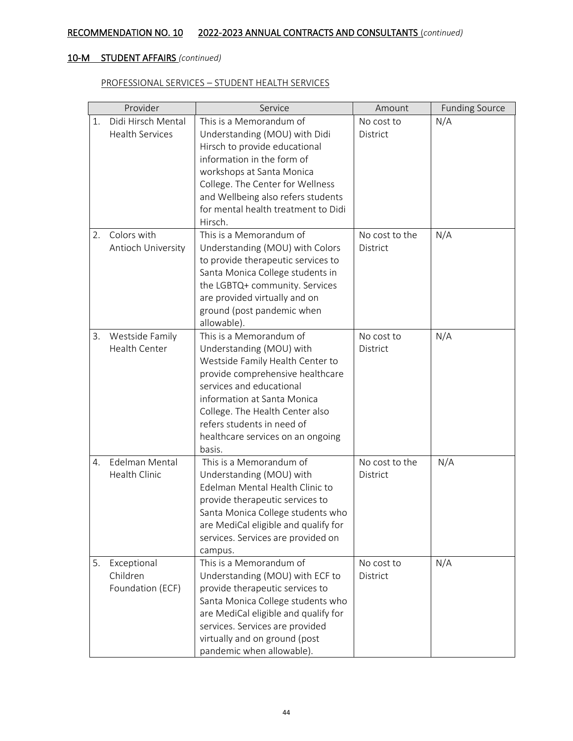### PROFESSIONAL SERVICES – STUDENT HEALTH SERVICES

|    | Provider               | Service                                                                                       | Amount         | <b>Funding Source</b> |
|----|------------------------|-----------------------------------------------------------------------------------------------|----------------|-----------------------|
| 1. | Didi Hirsch Mental     | This is a Memorandum of                                                                       | No cost to     | N/A                   |
|    | <b>Health Services</b> | Understanding (MOU) with Didi                                                                 | District       |                       |
|    |                        | Hirsch to provide educational                                                                 |                |                       |
|    |                        | information in the form of                                                                    |                |                       |
|    |                        | workshops at Santa Monica                                                                     |                |                       |
|    |                        | College. The Center for Wellness                                                              |                |                       |
|    |                        | and Wellbeing also refers students                                                            |                |                       |
|    |                        | for mental health treatment to Didi                                                           |                |                       |
|    |                        | Hirsch.                                                                                       |                |                       |
| 2. | Colors with            | This is a Memorandum of                                                                       | No cost to the | N/A                   |
|    | Antioch University     | Understanding (MOU) with Colors                                                               | District       |                       |
|    |                        | to provide therapeutic services to                                                            |                |                       |
|    |                        | Santa Monica College students in                                                              |                |                       |
|    |                        | the LGBTQ+ community. Services<br>are provided virtually and on                               |                |                       |
|    |                        | ground (post pandemic when                                                                    |                |                       |
|    |                        | allowable).                                                                                   |                |                       |
| 3. | Westside Family        | This is a Memorandum of                                                                       | No cost to     | N/A                   |
|    | <b>Health Center</b>   | Understanding (MOU) with                                                                      | District       |                       |
|    |                        | Westside Family Health Center to                                                              |                |                       |
|    |                        | provide comprehensive healthcare                                                              |                |                       |
|    |                        | services and educational                                                                      |                |                       |
|    |                        | information at Santa Monica                                                                   |                |                       |
|    |                        | College. The Health Center also                                                               |                |                       |
|    |                        | refers students in need of                                                                    |                |                       |
|    |                        | healthcare services on an ongoing                                                             |                |                       |
|    |                        | basis.                                                                                        |                |                       |
| 4. | Edelman Mental         | This is a Memorandum of                                                                       | No cost to the | N/A                   |
|    | Health Clinic          | Understanding (MOU) with                                                                      | District       |                       |
|    |                        | Edelman Mental Health Clinic to                                                               |                |                       |
|    |                        | provide therapeutic services to                                                               |                |                       |
|    |                        | Santa Monica College students who                                                             |                |                       |
|    |                        | are MediCal eligible and qualify for                                                          |                |                       |
|    |                        | services. Services are provided on                                                            |                |                       |
|    |                        | campus.                                                                                       |                |                       |
| 5. | Exceptional            | This is a Memorandum of                                                                       | No cost to     | N/A                   |
|    | Children               | Understanding (MOU) with ECF to                                                               | District       |                       |
|    | Foundation (ECF)       | provide therapeutic services to                                                               |                |                       |
|    |                        | Santa Monica College students who                                                             |                |                       |
|    |                        | are MediCal eligible and qualify for                                                          |                |                       |
|    |                        |                                                                                               |                |                       |
|    |                        |                                                                                               |                |                       |
|    |                        | services. Services are provided<br>virtually and on ground (post<br>pandemic when allowable). |                |                       |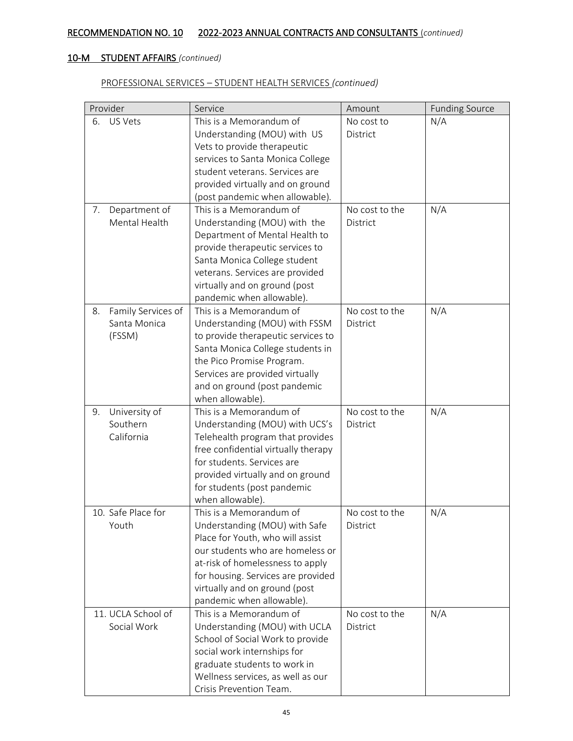### PROFESSIONAL SERVICES – STUDENT HEALTH SERVICES *(continued)*

|    | Provider           | Service                                                      | Amount         | <b>Funding Source</b> |
|----|--------------------|--------------------------------------------------------------|----------------|-----------------------|
| 6. | US Vets            | This is a Memorandum of                                      | No cost to     | N/A                   |
|    |                    | Understanding (MOU) with US                                  | District       |                       |
|    |                    | Vets to provide therapeutic                                  |                |                       |
|    |                    | services to Santa Monica College                             |                |                       |
|    |                    | student veterans. Services are                               |                |                       |
|    |                    | provided virtually and on ground                             |                |                       |
|    |                    | (post pandemic when allowable).                              |                |                       |
| 7. | Department of      | This is a Memorandum of                                      | No cost to the | N/A                   |
|    | Mental Health      | Understanding (MOU) with the                                 | District       |                       |
|    |                    | Department of Mental Health to                               |                |                       |
|    |                    | provide therapeutic services to                              |                |                       |
|    |                    | Santa Monica College student                                 |                |                       |
|    |                    | veterans. Services are provided                              |                |                       |
|    |                    | virtually and on ground (post                                |                |                       |
|    |                    | pandemic when allowable).                                    |                |                       |
| 8. | Family Services of | This is a Memorandum of                                      | No cost to the | N/A                   |
|    | Santa Monica       | Understanding (MOU) with FSSM                                | District       |                       |
|    | (FSSM)             | to provide therapeutic services to                           |                |                       |
|    |                    | Santa Monica College students in                             |                |                       |
|    |                    | the Pico Promise Program.                                    |                |                       |
|    |                    | Services are provided virtually                              |                |                       |
|    |                    | and on ground (post pandemic                                 |                |                       |
|    |                    | when allowable).                                             |                |                       |
| 9. | University of      | This is a Memorandum of                                      | No cost to the | N/A                   |
|    | Southern           | Understanding (MOU) with UCS's                               | District       |                       |
|    | California         | Telehealth program that provides                             |                |                       |
|    |                    | free confidential virtually therapy                          |                |                       |
|    |                    | for students. Services are                                   |                |                       |
|    |                    | provided virtually and on ground                             |                |                       |
|    |                    | for students (post pandemic                                  |                |                       |
|    |                    | when allowable).                                             |                |                       |
|    | 10. Safe Place for | This is a Memorandum of                                      | No cost to the | N/A                   |
|    | Youth              | Understanding (MOU) with Safe                                | District       |                       |
|    |                    | Place for Youth, who will assist                             |                |                       |
|    |                    | our students who are homeless or                             |                |                       |
|    |                    | at-risk of homelessness to apply                             |                |                       |
|    |                    | for housing. Services are provided                           |                |                       |
|    |                    | virtually and on ground (post                                |                |                       |
|    | 11. UCLA School of | pandemic when allowable).<br>This is a Memorandum of         | No cost to the | N/A                   |
|    | Social Work        | Understanding (MOU) with UCLA                                | District       |                       |
|    |                    |                                                              |                |                       |
|    |                    | School of Social Work to provide                             |                |                       |
|    |                    | social work internships for                                  |                |                       |
|    |                    | graduate students to work in                                 |                |                       |
|    |                    | Wellness services, as well as our<br>Crisis Prevention Team. |                |                       |
|    |                    |                                                              |                |                       |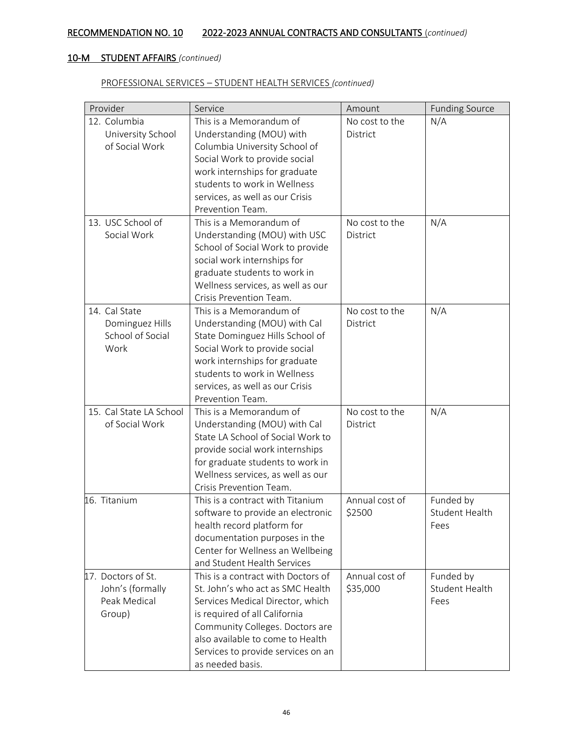### PROFESSIONAL SERVICES – STUDENT HEALTH SERVICES *(continued)*

| Provider                            | Service                                                        | Amount         | <b>Funding Source</b> |
|-------------------------------------|----------------------------------------------------------------|----------------|-----------------------|
| 12. Columbia                        | This is a Memorandum of                                        | No cost to the | N/A                   |
| University School                   | Understanding (MOU) with                                       | District       |                       |
| of Social Work                      | Columbia University School of                                  |                |                       |
|                                     | Social Work to provide social                                  |                |                       |
|                                     | work internships for graduate                                  |                |                       |
|                                     | students to work in Wellness                                   |                |                       |
|                                     | services, as well as our Crisis                                |                |                       |
|                                     | Prevention Team.                                               |                |                       |
| 13. USC School of                   | This is a Memorandum of                                        | No cost to the | N/A                   |
| Social Work                         | Understanding (MOU) with USC                                   | District       |                       |
|                                     | School of Social Work to provide                               |                |                       |
|                                     | social work internships for                                    |                |                       |
|                                     | graduate students to work in                                   |                |                       |
|                                     | Wellness services, as well as our                              |                |                       |
|                                     | Crisis Prevention Team.                                        |                |                       |
| 14. Cal State                       | This is a Memorandum of                                        | No cost to the | N/A                   |
| Dominguez Hills<br>School of Social | Understanding (MOU) with Cal                                   | District       |                       |
| Work                                | State Dominguez Hills School of                                |                |                       |
|                                     | Social Work to provide social<br>work internships for graduate |                |                       |
|                                     | students to work in Wellness                                   |                |                       |
|                                     | services, as well as our Crisis                                |                |                       |
|                                     | Prevention Team.                                               |                |                       |
| 15. Cal State LA School             | This is a Memorandum of                                        | No cost to the | N/A                   |
| of Social Work                      | Understanding (MOU) with Cal                                   | District       |                       |
|                                     | State LA School of Social Work to                              |                |                       |
|                                     | provide social work internships                                |                |                       |
|                                     | for graduate students to work in                               |                |                       |
|                                     | Wellness services, as well as our                              |                |                       |
|                                     | Crisis Prevention Team.                                        |                |                       |
| 16. Titanium                        | This is a contract with Titanium                               | Annual cost of | Funded by             |
|                                     | software to provide an electronic                              | \$2500         | <b>Student Health</b> |
|                                     | health record platform for                                     |                | Fees                  |
|                                     | documentation purposes in the                                  |                |                       |
|                                     | Center for Wellness an Wellbeing                               |                |                       |
|                                     | and Student Health Services                                    |                |                       |
| 17. Doctors of St.                  | This is a contract with Doctors of                             | Annual cost of | Funded by             |
| John's (formally                    | St. John's who act as SMC Health                               | \$35,000       | <b>Student Health</b> |
| Peak Medical                        | Services Medical Director, which                               |                | Fees                  |
| Group)                              | is required of all California                                  |                |                       |
|                                     | Community Colleges. Doctors are                                |                |                       |
|                                     | also available to come to Health                               |                |                       |
|                                     | Services to provide services on an                             |                |                       |
|                                     | as needed basis.                                               |                |                       |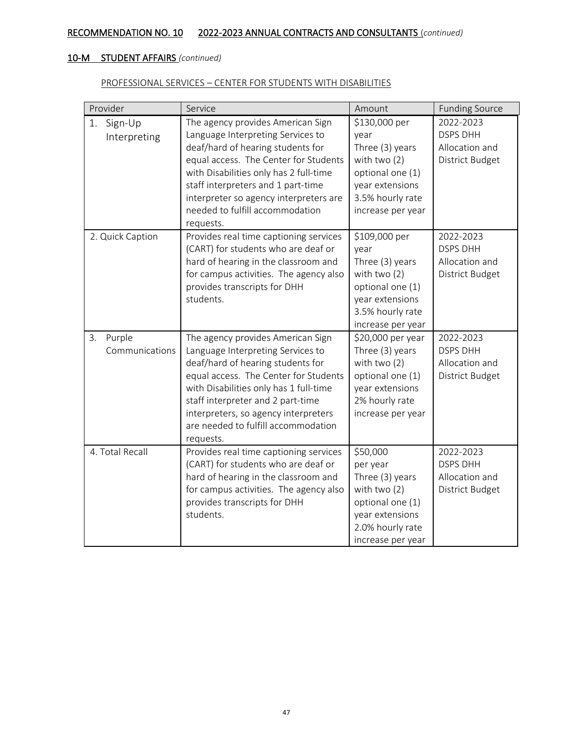### PROFESSIONAL SERVICES – CENTER FOR STUDENTS WITH DISABILITIES

| Provider                       | Service                                                                                                                                                                                                                                                                                                                         | Amount                                                                                                                                     | <b>Funding Source</b>                                             |
|--------------------------------|---------------------------------------------------------------------------------------------------------------------------------------------------------------------------------------------------------------------------------------------------------------------------------------------------------------------------------|--------------------------------------------------------------------------------------------------------------------------------------------|-------------------------------------------------------------------|
| 1.<br>Sign-Up<br>Interpreting  | The agency provides American Sign<br>Language Interpreting Services to<br>deaf/hard of hearing students for<br>equal access. The Center for Students<br>with Disabilities only has 2 full-time<br>staff interpreters and 1 part-time<br>interpreter so agency interpreters are<br>needed to fulfill accommodation<br>requests.  | \$130,000 per<br>year<br>Three (3) years<br>with two $(2)$<br>optional one (1)<br>year extensions<br>3.5% hourly rate<br>increase per year | 2022-2023<br><b>DSPS DHH</b><br>Allocation and<br>District Budget |
| 2. Quick Caption               | Provides real time captioning services<br>(CART) for students who are deaf or<br>hard of hearing in the classroom and<br>for campus activities. The agency also<br>provides transcripts for DHH<br>students.                                                                                                                    | \$109,000 per<br>year<br>Three (3) years<br>with two $(2)$<br>optional one (1)<br>year extensions<br>3.5% hourly rate<br>increase per year | 2022-2023<br><b>DSPS DHH</b><br>Allocation and<br>District Budget |
| Purple<br>3.<br>Communications | The agency provides American Sign<br>Language Interpreting Services to<br>deaf/hard of hearing students for<br>equal access. The Center for Students<br>with Disabilities only has 1 full-time<br>staff interpreter and 2 part-time<br>interpreters, so agency interpreters<br>are needed to fulfill accommodation<br>requests. | \$20,000 per year<br>Three (3) years<br>with two $(2)$<br>optional one (1)<br>year extensions<br>2% hourly rate<br>increase per year       | 2022-2023<br><b>DSPS DHH</b><br>Allocation and<br>District Budget |
| 4. Total Recall                | Provides real time captioning services<br>(CART) for students who are deaf or<br>hard of hearing in the classroom and<br>for campus activities. The agency also<br>provides transcripts for DHH<br>students.                                                                                                                    | \$50,000<br>per year<br>Three (3) years<br>with two (2)<br>optional one (1)<br>year extensions<br>2.0% hourly rate<br>increase per year    | 2022-2023<br><b>DSPS DHH</b><br>Allocation and<br>District Budget |